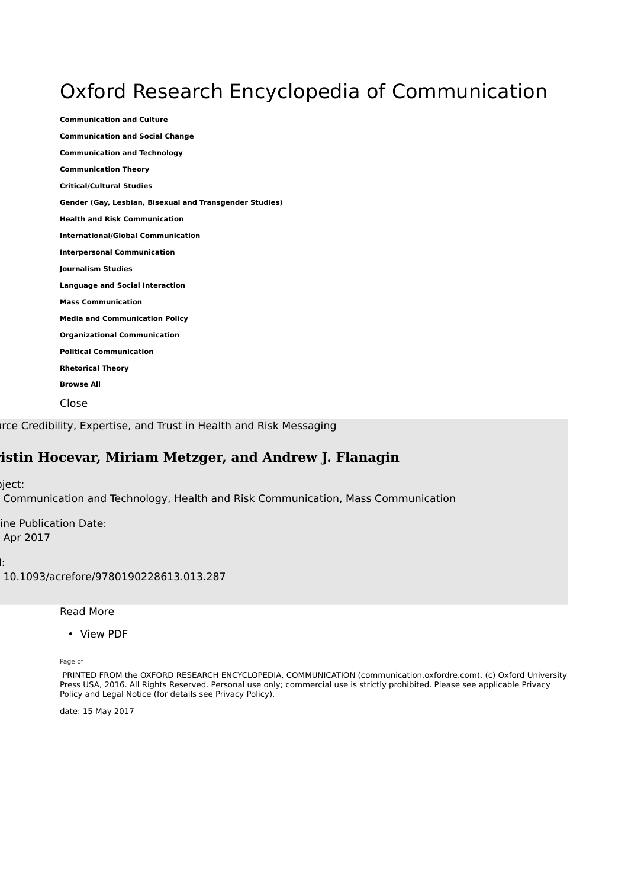## Oxford Research Encyclopedia of Communication

**Communication and Culture Communication and Social Change Communication and Technology Communication Theory Critical/Cultural Studies Gender (Gay, Lesbian, Bisexual and Transgender Studies) Health and Risk Communication International/Global Communication Interpersonal Communication Journalism Studies Language and Social Interaction Mass Communication Media and Communication Policy Organizational Communication Political Communication Rhetorical Theory Browse All** Close

Irce Credibility, Expertise, and Trust in Health and Risk Messaging

#### **Kristin Hocevar, Miriam Metzger, and Andrew J. Flanagin**

 $iject:$ 

Communication and Technology, Health and Risk Communication, Mass Communication

ine Publication Date: Apr 2017

DOI:

10.1093/acrefore/9780190228613.013.287

Read More

• View PDF

Page of

 PRINTED FROM the OXFORD RESEARCH ENCYCLOPEDIA, COMMUNICATION (communication.oxfordre.com). (c) Oxford University Press USA, 2016. All Rights Reserved. Personal use only; commercial use is strictly prohibited. Please see applicable Privacy Policy and Legal Notice (for details see Privacy Policy).

date: 15 May 2017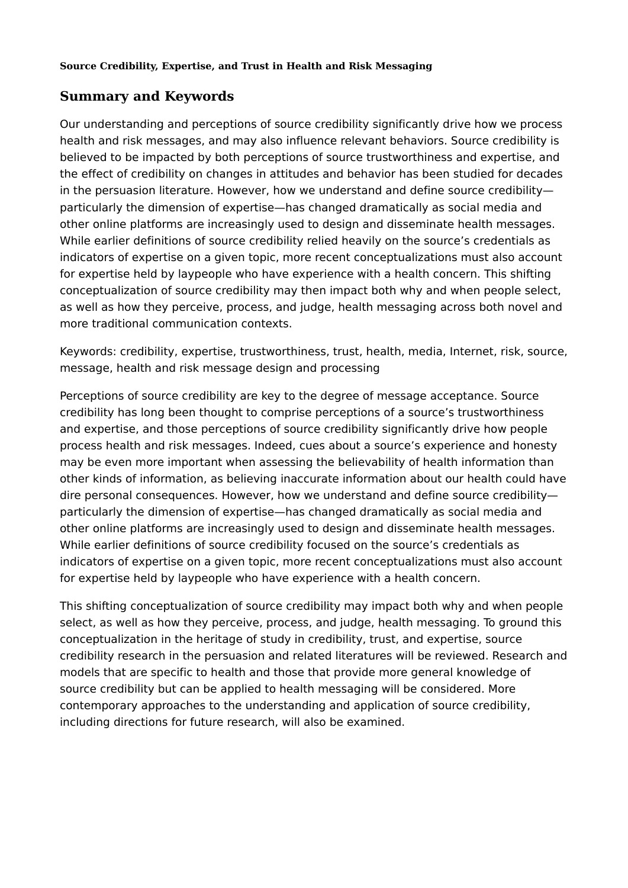#### **Summary and Keywords**

Our understanding and perceptions of source credibility significantly drive how we process health and risk messages, and may also influence relevant behaviors. Source credibility is believed to be impacted by both perceptions of source trustworthiness and expertise, and the effect of credibility on changes in attitudes and behavior has been studied for decades in the persuasion literature. However, how we understand and define source credibility particularly the dimension of expertise—has changed dramatically as social media and other online platforms are increasingly used to design and disseminate health messages. While earlier definitions of source credibility relied heavily on the source's credentials as indicators of expertise on a given topic, more recent conceptualizations must also account for expertise held by laypeople who have experience with a health concern. This shifting conceptualization of source credibility may then impact both why and when people select, as well as how they perceive, process, and judge, health messaging across both novel and more traditional communication contexts.

Keywords: credibility, expertise, trustworthiness, trust, health, media, Internet, risk, source, message, health and risk message design and processing

Perceptions of source credibility are key to the degree of message acceptance. Source credibility has long been thought to comprise perceptions of a source's trustworthiness and expertise, and those perceptions of source credibility significantly drive how people process health and risk messages. Indeed, cues about a source's experience and honesty may be even more important when assessing the believability of health information than other kinds of information, as believing inaccurate information about our health could have dire personal consequences. However, how we understand and define source credibility particularly the dimension of expertise—has changed dramatically as social media and other online platforms are increasingly used to design and disseminate health messages. While earlier definitions of source credibility focused on the source's credentials as indicators of expertise on a given topic, more recent conceptualizations must also account for expertise held by laypeople who have experience with a health concern.

This shifting conceptualization of source credibility may impact both why and when people select, as well as how they perceive, process, and judge, health messaging. To ground this conceptualization in the heritage of study in credibility, trust, and expertise, source credibility research in the persuasion and related literatures will be reviewed. Research and models that are specific to health and those that provide more general knowledge of source credibility but can be applied to health messaging will be considered. More contemporary approaches to the understanding and application of source credibility, including directions for future research, will also be examined.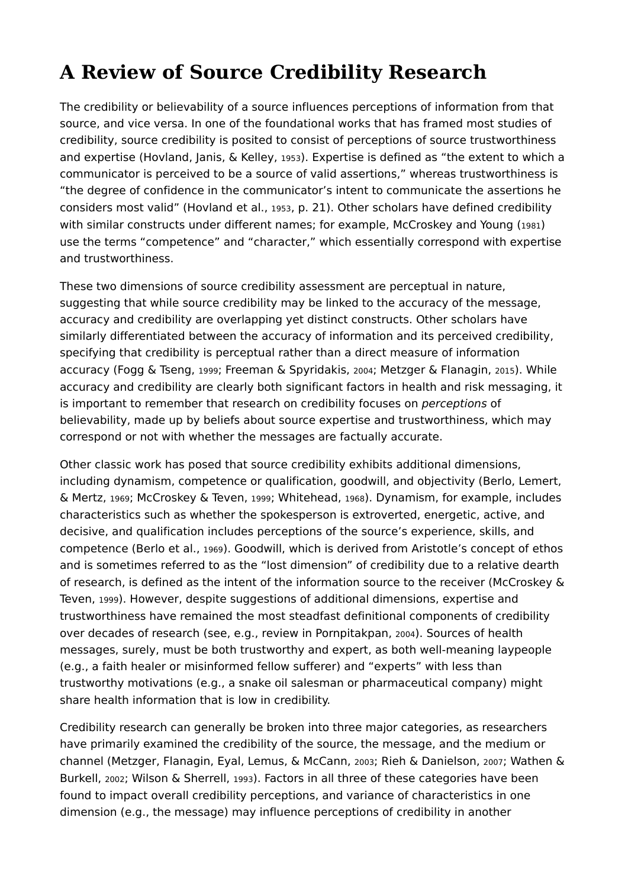# **A Review of Source Credibility Research**

The credibility or believability of a source influences perceptions of information from that source, and vice versa. In one of the foundational works that has framed most studies of credibility, source credibility is posited to consist of perceptions of source trustworthiness and expertise (Hovland, Janis, & Kelley, 1953). Expertise is defined as "the extent to which a communicator is perceived to be a source of valid assertions," whereas trustworthiness is "the degree of confidence in the communicator's intent to communicate the assertions he considers most valid" (Hovland et al., 1953, p. 21). Other scholars have defined credibility with similar constructs under different names; for example, McCroskey and Young (1981) use the terms "competence" and "character," which essentially correspond with expertise and trustworthiness.

These two dimensions of source credibility assessment are perceptual in nature, suggesting that while source credibility may be linked to the accuracy of the message, accuracy and credibility are overlapping yet distinct constructs. Other scholars have similarly differentiated between the accuracy of information and its perceived credibility, specifying that credibility is perceptual rather than a direct measure of information accuracy (Fogg & Tseng, 1999; Freeman & Spyridakis, 2004; Metzger & Flanagin, 2015). While accuracy and credibility are clearly both significant factors in health and risk messaging, it is important to remember that research on credibility focuses on *perceptions* of believability, made up by beliefs about source expertise and trustworthiness, which may correspond or not with whether the messages are factually accurate.

Other classic work has posed that source credibility exhibits additional dimensions, including dynamism, competence or qualification, goodwill, and objectivity (Berlo, Lemert, & Mertz, 1969; McCroskey & Teven, 1999; Whitehead, 1968). Dynamism, for example, includes characteristics such as whether the spokesperson is extroverted, energetic, active, and decisive, and qualification includes perceptions of the source's experience, skills, and competence (Berlo et al., 1969). Goodwill, which is derived from Aristotle's concept of ethos and is sometimes referred to as the "lost dimension" of credibility due to a relative dearth of research, is defined as the intent of the information source to the receiver (McCroskey & Teven, 1999). However, despite suggestions of additional dimensions, expertise and trustworthiness have remained the most steadfast definitional components of credibility over decades of research (see, e.g., review in Pornpitakpan, 2004). Sources of health messages, surely, must be both trustworthy and expert, as both well-meaning laypeople (e.g., a faith healer or misinformed fellow sufferer) and "experts" with less than trustworthy motivations (e.g., a snake oil salesman or pharmaceutical company) might share health information that is low in credibility.

Credibility research can generally be broken into three major categories, as researchers have primarily examined the credibility of the source, the message, and the medium or channel (Metzger, Flanagin, Eyal, Lemus, & McCann, 2003; Rieh & Danielson, 2007; Wathen & Burkell, 2002; Wilson & Sherrell, 1993). Factors in all three of these categories have been found to impact overall credibility perceptions, and variance of characteristics in one dimension (e.g., the message) may influence perceptions of credibility in another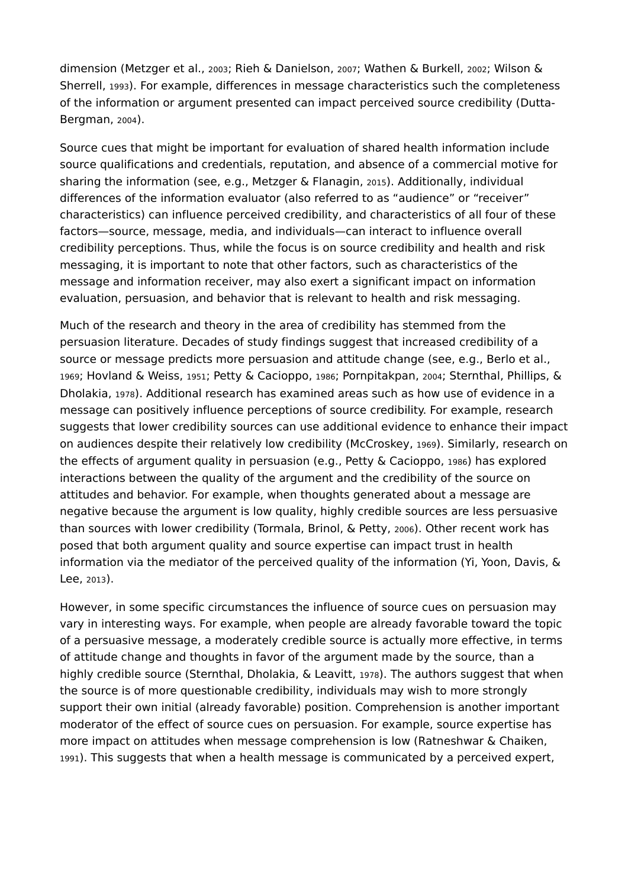dimension (Metzger et al., 2003; Rieh & Danielson, 2007; Wathen & Burkell, 2002; Wilson & Sherrell, 1993). For example, differences in message characteristics such the completeness of the information or argument presented can impact perceived source credibility (Dutta-Bergman, 2004).

Source cues that might be important for evaluation of shared health information include source qualifications and credentials, reputation, and absence of a commercial motive for sharing the information (see, e.g., Metzger & Flanagin, 2015). Additionally, individual differences of the information evaluator (also referred to as "audience" or "receiver" characteristics) can influence perceived credibility, and characteristics of all four of these factors—source, message, media, and individuals—can interact to influence overall credibility perceptions. Thus, while the focus is on source credibility and health and risk messaging, it is important to note that other factors, such as characteristics of the message and information receiver, may also exert a significant impact on information evaluation, persuasion, and behavior that is relevant to health and risk messaging.

Much of the research and theory in the area of credibility has stemmed from the persuasion literature. Decades of study findings suggest that increased credibility of a source or message predicts more persuasion and attitude change (see, e.g., Berlo et al., 1969; Hovland & Weiss, 1951; Petty & Cacioppo, 1986; Pornpitakpan, 2004; Sternthal, Phillips, & Dholakia, 1978). Additional research has examined areas such as how use of evidence in a message can positively influence perceptions of source credibility. For example, research suggests that lower credibility sources can use additional evidence to enhance their impact on audiences despite their relatively low credibility (McCroskey, 1969). Similarly, research on the effects of argument quality in persuasion (e.g., Petty & Cacioppo, 1986) has explored interactions between the quality of the argument and the credibility of the source on attitudes and behavior. For example, when thoughts generated about a message are negative because the argument is low quality, highly credible sources are less persuasive than sources with lower credibility (Tormala, Brinol, & Petty, 2006). Other recent work has posed that both argument quality and source expertise can impact trust in health information via the mediator of the perceived quality of the information (Yi, Yoon, Davis, & Lee, 2013).

However, in some specific circumstances the influence of source cues on persuasion may vary in interesting ways. For example, when people are already favorable toward the topic of a persuasive message, a moderately credible source is actually more effective, in terms of attitude change and thoughts in favor of the argument made by the source, than a highly credible source (Sternthal, Dholakia, & Leavitt, 1978). The authors suggest that when the source is of more questionable credibility, individuals may wish to more strongly support their own initial (already favorable) position. Comprehension is another important moderator of the effect of source cues on persuasion. For example, source expertise has more impact on attitudes when message comprehension is low (Ratneshwar & Chaiken, 1991). This suggests that when a health message is communicated by a perceived expert,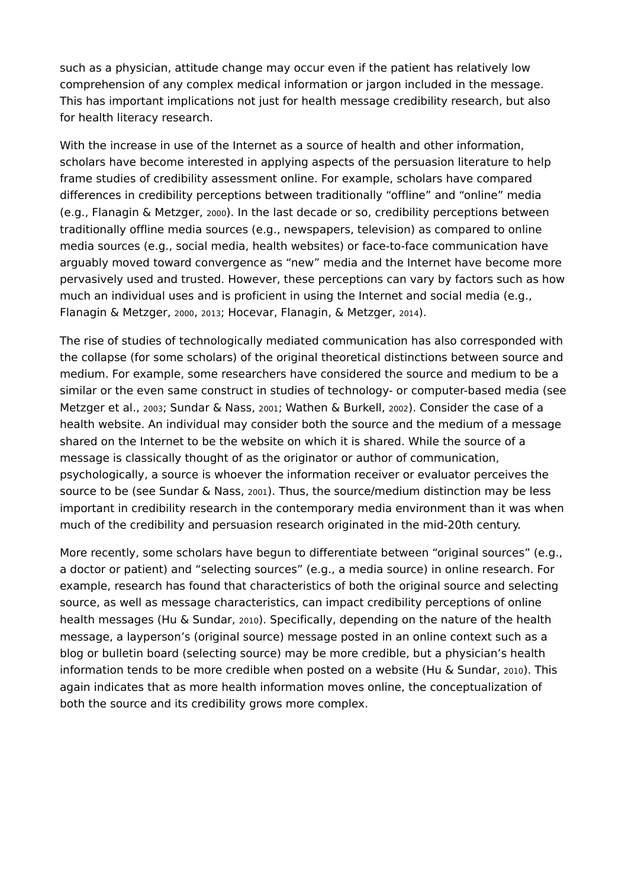such as a physician, attitude change may occur even if the patient has relatively low comprehension of any complex medical information or jargon included in the message. This has important implications not just for health message credibility research, but also for health literacy research.

With the increase in use of the Internet as a source of health and other information, scholars have become interested in applying aspects of the persuasion literature to help frame studies of credibility assessment online. For example, scholars have compared differences in credibility perceptions between traditionally "offline" and "online" media (e.g., Flanagin & Metzger, 2000). In the last decade or so, credibility perceptions between traditionally offline media sources (e.g., newspapers, television) as compared to online media sources (e.g., social media, health websites) or face-to-face communication have arguably moved toward convergence as "new" media and the Internet have become more pervasively used and trusted. However, these perceptions can vary by factors such as how much an individual uses and is proficient in using the Internet and social media (e.g., Flanagin & Metzger, 2000, 2013; Hocevar, Flanagin, & Metzger, 2014).

The rise of studies of technologically mediated communication has also corresponded with the collapse (for some scholars) of the original theoretical distinctions between source and medium. For example, some researchers have considered the source and medium to be a similar or the even same construct in studies of technology- or computer-based media (see Metzger et al., 2003; Sundar & Nass, 2001; Wathen & Burkell, 2002). Consider the case of a health website. An individual may consider both the source and the medium of a message shared on the Internet to be the website on which it is shared. While the source of a message is classically thought of as the originator or author of communication, psychologically, a source is whoever the information receiver or evaluator perceives the source to be (see Sundar & Nass, 2001). Thus, the source/medium distinction may be less important in credibility research in the contemporary media environment than it was when much of the credibility and persuasion research originated in the mid-20th century.

More recently, some scholars have begun to differentiate between "original sources" (e.g., a doctor or patient) and "selecting sources" (e.g., a media source) in online research. For example, research has found that characteristics of both the original source and selecting source, as well as message characteristics, can impact credibility perceptions of online health messages (Hu & Sundar, 2010). Specifically, depending on the nature of the health message, a layperson's (original source) message posted in an online context such as a blog or bulletin board (selecting source) may be more credible, but a physician's health information tends to be more credible when posted on a website (Hu & Sundar, 2010). This again indicates that as more health information moves online, the conceptualization of both the source and its credibility grows more complex.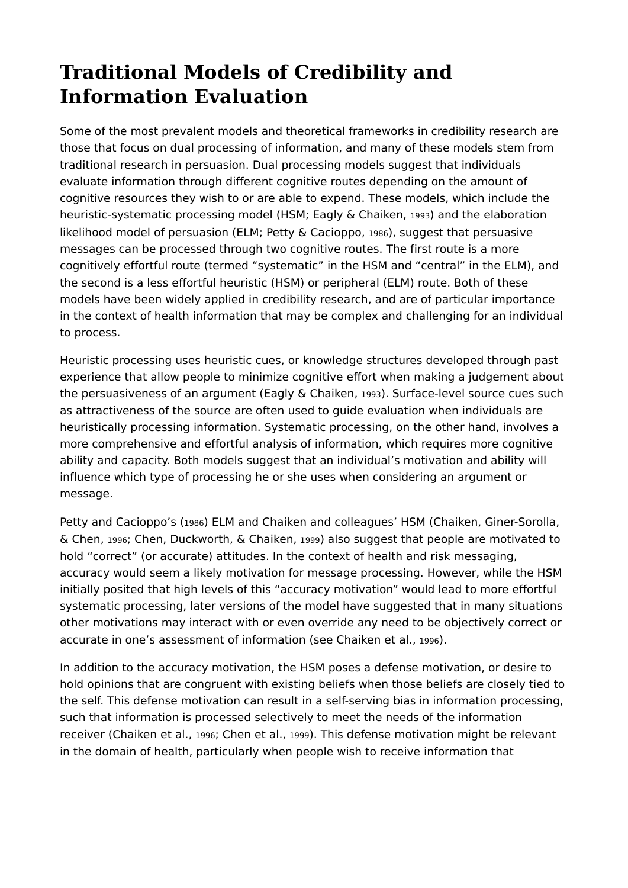## **Traditional Models of Credibility and Information Evaluation**

Some of the most prevalent models and theoretical frameworks in credibility research are those that focus on dual processing of information, and many of these models stem from traditional research in persuasion. Dual processing models suggest that individuals evaluate information through different cognitive routes depending on the amount of cognitive resources they wish to or are able to expend. These models, which include the heuristic-systematic processing model (HSM; Eagly & Chaiken, 1993) and the elaboration likelihood model of persuasion (ELM; Petty & Cacioppo, 1986), suggest that persuasive messages can be processed through two cognitive routes. The first route is a more cognitively effortful route (termed "systematic" in the HSM and "central" in the ELM), and the second is a less effortful heuristic (HSM) or peripheral (ELM) route. Both of these models have been widely applied in credibility research, and are of particular importance in the context of health information that may be complex and challenging for an individual to process.

Heuristic processing uses heuristic cues, or knowledge structures developed through past experience that allow people to minimize cognitive effort when making a judgement about the persuasiveness of an argument (Eagly & Chaiken, 1993). Surface-level source cues such as attractiveness of the source are often used to guide evaluation when individuals are heuristically processing information. Systematic processing, on the other hand, involves a more comprehensive and effortful analysis of information, which requires more cognitive ability and capacity. Both models suggest that an individual's motivation and ability will influence which type of processing he or she uses when considering an argument or message.

Petty and Cacioppo's (1986) ELM and Chaiken and colleagues' HSM (Chaiken, Giner-Sorolla, & Chen, 1996; Chen, Duckworth, & Chaiken, 1999) also suggest that people are motivated to hold "correct" (or accurate) attitudes. In the context of health and risk messaging, accuracy would seem a likely motivation for message processing. However, while the HSM initially posited that high levels of this "accuracy motivation" would lead to more effortful systematic processing, later versions of the model have suggested that in many situations other motivations may interact with or even override any need to be objectively correct or accurate in one's assessment of information (see Chaiken et al., 1996).

In addition to the accuracy motivation, the HSM poses a defense motivation, or desire to hold opinions that are congruent with existing beliefs when those beliefs are closely tied to the self. This defense motivation can result in a self-serving bias in information processing, such that information is processed selectively to meet the needs of the information receiver (Chaiken et al., 1996; Chen et al., 1999). This defense motivation might be relevant in the domain of health, particularly when people wish to receive information that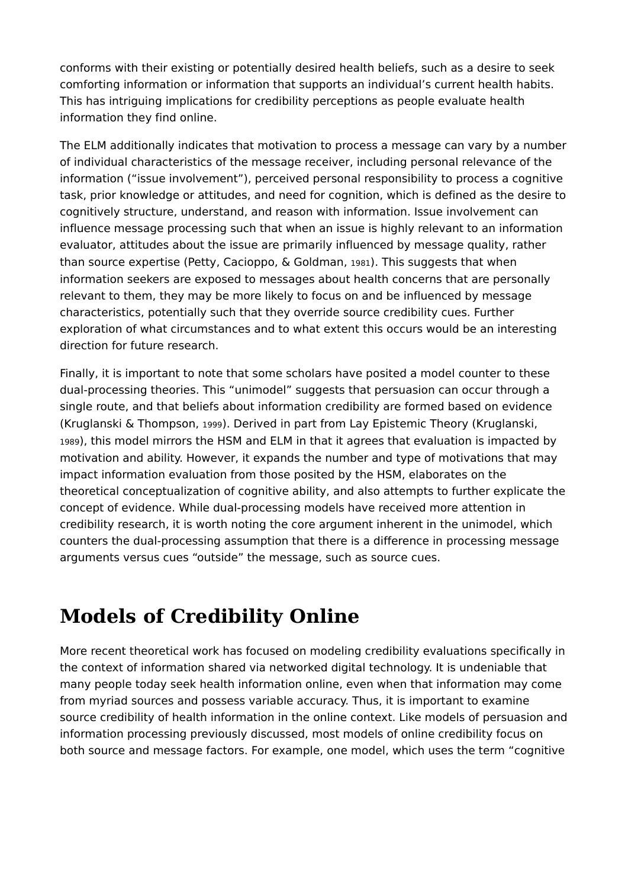conforms with their existing or potentially desired health beliefs, such as a desire to seek comforting information or information that supports an individual's current health habits. This has intriguing implications for credibility perceptions as people evaluate health information they find online.

The ELM additionally indicates that motivation to process a message can vary by a number of individual characteristics of the message receiver, including personal relevance of the information ("issue involvement"), perceived personal responsibility to process a cognitive task, prior knowledge or attitudes, and need for cognition, which is defined as the desire to cognitively structure, understand, and reason with information. Issue involvement can influence message processing such that when an issue is highly relevant to an information evaluator, attitudes about the issue are primarily influenced by message quality, rather than source expertise (Petty, Cacioppo, & Goldman, 1981). This suggests that when information seekers are exposed to messages about health concerns that are personally relevant to them, they may be more likely to focus on and be influenced by message characteristics, potentially such that they override source credibility cues. Further exploration of what circumstances and to what extent this occurs would be an interesting direction for future research.

Finally, it is important to note that some scholars have posited a model counter to these dual-processing theories. This "unimodel" suggests that persuasion can occur through a single route, and that beliefs about information credibility are formed based on evidence (Kruglanski & Thompson, 1999). Derived in part from Lay Epistemic Theory (Kruglanski, 1989), this model mirrors the HSM and ELM in that it agrees that evaluation is impacted by motivation and ability. However, it expands the number and type of motivations that may impact information evaluation from those posited by the HSM, elaborates on the theoretical conceptualization of cognitive ability, and also attempts to further explicate the concept of evidence. While dual-processing models have received more attention in credibility research, it is worth noting the core argument inherent in the unimodel, which counters the dual-processing assumption that there is a difference in processing message arguments versus cues "outside" the message, such as source cues.

## **Models of Credibility Online**

More recent theoretical work has focused on modeling credibility evaluations specifically in the context of information shared via networked digital technology. It is undeniable that many people today seek health information online, even when that information may come from myriad sources and possess variable accuracy. Thus, it is important to examine source credibility of health information in the online context. Like models of persuasion and information processing previously discussed, most models of online credibility focus on both source and message factors. For example, one model, which uses the term "cognitive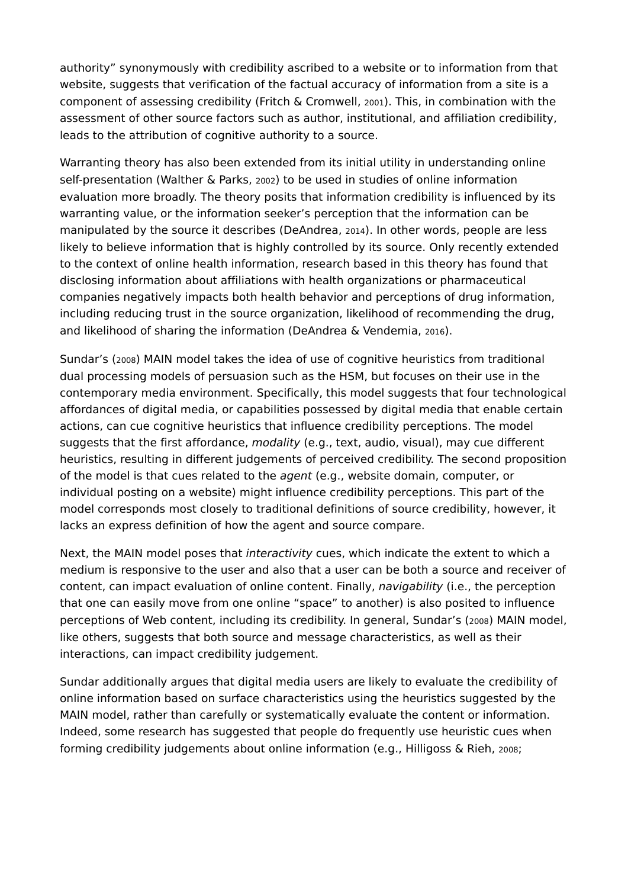authority" synonymously with credibility ascribed to a website or to information from that website, suggests that verification of the factual accuracy of information from a site is a component of assessing credibility (Fritch & Cromwell, 2001). This, in combination with the assessment of other source factors such as author, institutional, and affiliation credibility, leads to the attribution of cognitive authority to a source.

Warranting theory has also been extended from its initial utility in understanding online self-presentation (Walther & Parks, 2002) to be used in studies of online information evaluation more broadly. The theory posits that information credibility is influenced by its warranting value, or the information seeker's perception that the information can be manipulated by the source it describes (DeAndrea, 2014). In other words, people are less likely to believe information that is highly controlled by its source. Only recently extended to the context of online health information, research based in this theory has found that disclosing information about affiliations with health organizations or pharmaceutical companies negatively impacts both health behavior and perceptions of drug information, including reducing trust in the source organization, likelihood of recommending the drug, and likelihood of sharing the information (DeAndrea & Vendemia, 2016).

Sundar's (2008) MAIN model takes the idea of use of cognitive heuristics from traditional dual processing models of persuasion such as the HSM, but focuses on their use in the contemporary media environment. Specifically, this model suggests that four technological affordances of digital media, or capabilities possessed by digital media that enable certain actions, can cue cognitive heuristics that influence credibility perceptions. The model suggests that the first affordance, *modality* (e.g., text, audio, visual), may cue different heuristics, resulting in different judgements of perceived credibility. The second proposition of the model is that cues related to the *agent* (e.g., website domain, computer, or individual posting on a website) might influence credibility perceptions. This part of the model corresponds most closely to traditional definitions of source credibility, however, it lacks an express definition of how the agent and source compare.

Next, the MAIN model poses that *interactivity* cues, which indicate the extent to which a medium is responsive to the user and also that a user can be both a source and receiver of content, can impact evaluation of online content. Finally, *navigability* (i.e., the perception that one can easily move from one online "space" to another) is also posited to influence perceptions of Web content, including its credibility. In general, Sundar's (2008) MAIN model, like others, suggests that both source and message characteristics, as well as their interactions, can impact credibility judgement.

Sundar additionally argues that digital media users are likely to evaluate the credibility of online information based on surface characteristics using the heuristics suggested by the MAIN model, rather than carefully or systematically evaluate the content or information. Indeed, some research has suggested that people do frequently use heuristic cues when forming credibility judgements about online information (e.g., Hilligoss & Rieh, 2008;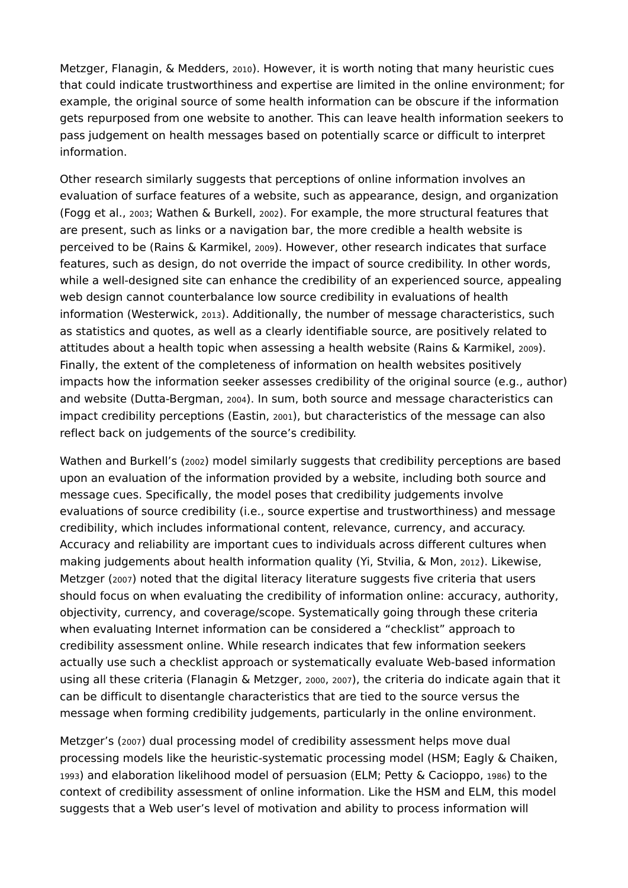Metzger, Flanagin, & Medders, 2010). However, it is worth noting that many heuristic cues that could indicate trustworthiness and expertise are limited in the online environment; for example, the original source of some health information can be obscure if the information gets repurposed from one website to another. This can leave health information seekers to pass judgement on health messages based on potentially scarce or difficult to interpret information.

Other research similarly suggests that perceptions of online information involves an evaluation of surface features of a website, such as appearance, design, and organization (Fogg et al., 2003; Wathen & Burkell, 2002). For example, the more structural features that are present, such as links or a navigation bar, the more credible a health website is perceived to be (Rains & Karmikel, 2009). However, other research indicates that surface features, such as design, do not override the impact of source credibility. In other words, while a well-designed site can enhance the credibility of an experienced source, appealing web design cannot counterbalance low source credibility in evaluations of health information (Westerwick, 2013). Additionally, the number of message characteristics, such as statistics and quotes, as well as a clearly identifiable source, are positively related to attitudes about a health topic when assessing a health website (Rains & Karmikel, 2009). Finally, the extent of the completeness of information on health websites positively impacts how the information seeker assesses credibility of the original source (e.g., author) and website (Dutta-Bergman, 2004). In sum, both source and message characteristics can impact credibility perceptions (Eastin, 2001), but characteristics of the message can also reflect back on judgements of the source's credibility.

Wathen and Burkell's (2002) model similarly suggests that credibility perceptions are based upon an evaluation of the information provided by a website, including both source and message cues. Specifically, the model poses that credibility judgements involve evaluations of source credibility (i.e., source expertise and trustworthiness) and message credibility, which includes informational content, relevance, currency, and accuracy. Accuracy and reliability are important cues to individuals across different cultures when making judgements about health information quality (Yi, Stvilia, & Mon, 2012). Likewise, Metzger (2007) noted that the digital literacy literature suggests five criteria that users should focus on when evaluating the credibility of information online: accuracy, authority, objectivity, currency, and coverage/scope. Systematically going through these criteria when evaluating Internet information can be considered a "checklist" approach to credibility assessment online. While research indicates that few information seekers actually use such a checklist approach or systematically evaluate Web-based information using all these criteria (Flanagin & Metzger, 2000, 2007), the criteria do indicate again that it can be difficult to disentangle characteristics that are tied to the source versus the message when forming credibility judgements, particularly in the online environment.

Metzger's (2007) dual processing model of credibility assessment helps move dual processing models like the heuristic-systematic processing model (HSM; Eagly & Chaiken, <sup>1993</sup>) and elaboration likelihood model of persuasion (ELM; Petty & Cacioppo, 1986) to the context of credibility assessment of online information. Like the HSM and ELM, this model suggests that a Web user's level of motivation and ability to process information will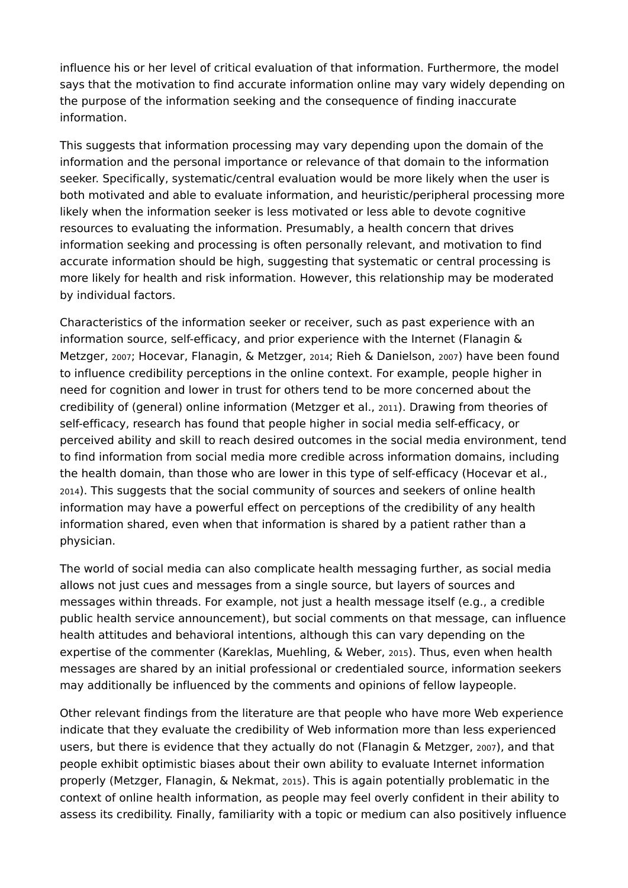influence his or her level of critical evaluation of that information. Furthermore, the model says that the motivation to find accurate information online may vary widely depending on the purpose of the information seeking and the consequence of finding inaccurate information.

This suggests that information processing may vary depending upon the domain of the information and the personal importance or relevance of that domain to the information seeker. Specifically, systematic/central evaluation would be more likely when the user is both motivated and able to evaluate information, and heuristic/peripheral processing more likely when the information seeker is less motivated or less able to devote cognitive resources to evaluating the information. Presumably, a health concern that drives information seeking and processing is often personally relevant, and motivation to find accurate information should be high, suggesting that systematic or central processing is more likely for health and risk information. However, this relationship may be moderated by individual factors.

Characteristics of the information seeker or receiver, such as past experience with an information source, self-efficacy, and prior experience with the Internet (Flanagin & Metzger, 2007; Hocevar, Flanagin, & Metzger, 2014; Rieh & Danielson, 2007) have been found to influence credibility perceptions in the online context. For example, people higher in need for cognition and lower in trust for others tend to be more concerned about the credibility of (general) online information (Metzger et al., 2011). Drawing from theories of self-efficacy, research has found that people higher in social media self-efficacy, or perceived ability and skill to reach desired outcomes in the social media environment, tend to find information from social media more credible across information domains, including the health domain, than those who are lower in this type of self-efficacy (Hocevar et al., 2014). This suggests that the social community of sources and seekers of online health information may have a powerful effect on perceptions of the credibility of any health information shared, even when that information is shared by a patient rather than a physician.

The world of social media can also complicate health messaging further, as social media allows not just cues and messages from a single source, but layers of sources and messages within threads. For example, not just a health message itself (e.g., a credible public health service announcement), but social comments on that message, can influence health attitudes and behavioral intentions, although this can vary depending on the expertise of the commenter (Kareklas, Muehling, & Weber, 2015). Thus, even when health messages are shared by an initial professional or credentialed source, information seekers may additionally be influenced by the comments and opinions of fellow laypeople.

Other relevant findings from the literature are that people who have more Web experience indicate that they evaluate the credibility of Web information more than less experienced users, but there is evidence that they actually do not (Flanagin & Metzger, 2007), and that people exhibit optimistic biases about their own ability to evaluate Internet information properly (Metzger, Flanagin, & Nekmat, 2015). This is again potentially problematic in the context of online health information, as people may feel overly confident in their ability to assess its credibility. Finally, familiarity with a topic or medium can also positively influence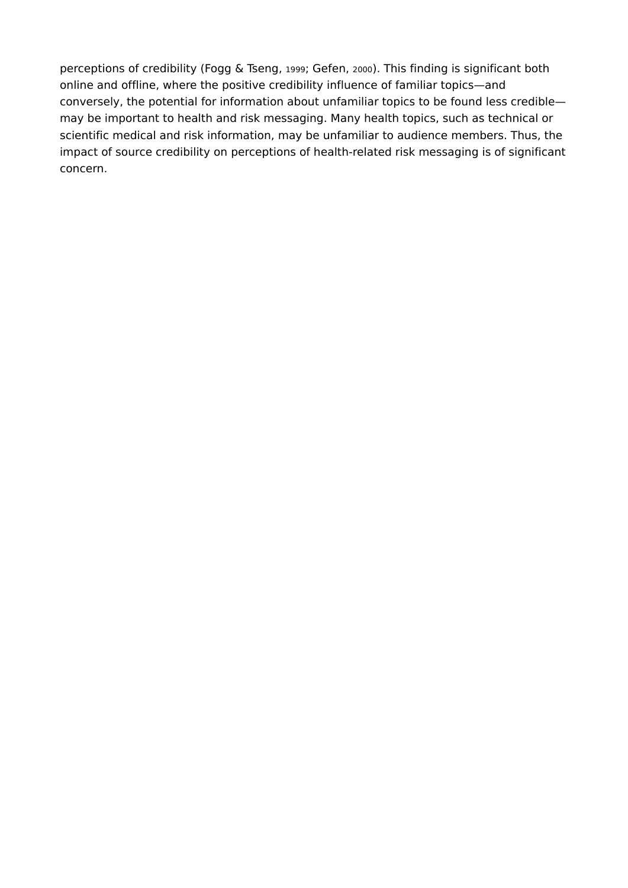perceptions of credibility (Fogg & Tseng, 1999; Gefen, 2000). This finding is significant both online and offline, where the positive credibility influence of familiar topics—and conversely, the potential for information about unfamiliar topics to be found less credible may be important to health and risk messaging. Many health topics, such as technical or scientific medical and risk information, may be unfamiliar to audience members. Thus, the impact of source credibility on perceptions of health-related risk messaging is of significant concern.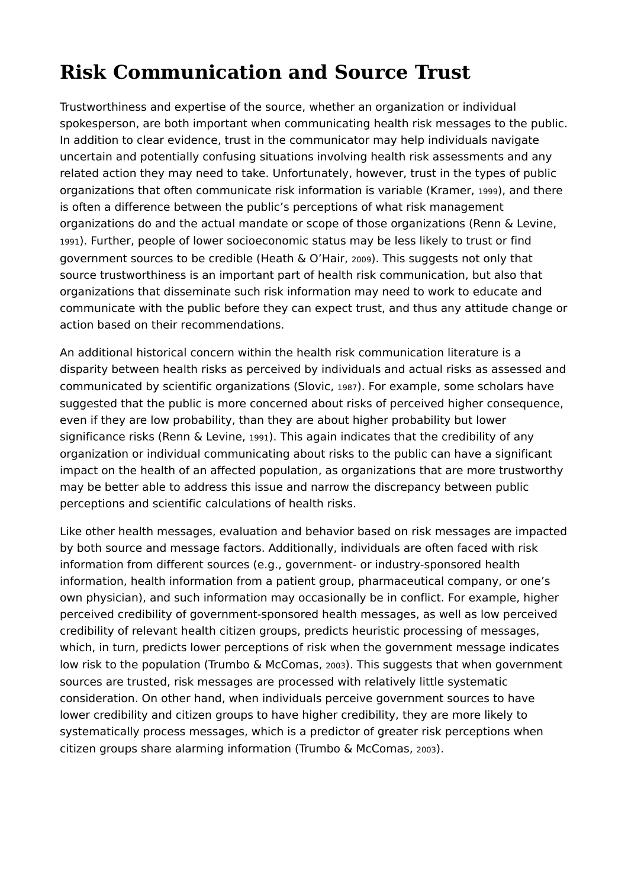# **Risk Communication and Source Trust**

Trustworthiness and expertise of the source, whether an organization or individual spokesperson, are both important when communicating health risk messages to the public. In addition to clear evidence, trust in the communicator may help individuals navigate uncertain and potentially confusing situations involving health risk assessments and any related action they may need to take. Unfortunately, however, trust in the types of public organizations that often communicate risk information is variable (Kramer, 1999), and there is often a difference between the public's perceptions of what risk management organizations do and the actual mandate or scope of those organizations (Renn & Levine, <sup>1991</sup>). Further, people of lower socioeconomic status may be less likely to trust or find government sources to be credible (Heath & O'Hair, 2009). This suggests not only that source trustworthiness is an important part of health risk communication, but also that organizations that disseminate such risk information may need to work to educate and communicate with the public before they can expect trust, and thus any attitude change or action based on their recommendations.

An additional historical concern within the health risk communication literature is a disparity between health risks as perceived by individuals and actual risks as assessed and communicated by scientific organizations (Slovic, 1987). For example, some scholars have suggested that the public is more concerned about risks of perceived higher consequence, even if they are low probability, than they are about higher probability but lower significance risks (Renn & Levine, 1991). This again indicates that the credibility of any organization or individual communicating about risks to the public can have a significant impact on the health of an affected population, as organizations that are more trustworthy may be better able to address this issue and narrow the discrepancy between public perceptions and scientific calculations of health risks.

Like other health messages, evaluation and behavior based on risk messages are impacted by both source and message factors. Additionally, individuals are often faced with risk information from different sources (e.g., government- or industry-sponsored health information, health information from a patient group, pharmaceutical company, or one's own physician), and such information may occasionally be in conflict. For example, higher perceived credibility of government-sponsored health messages, as well as low perceived credibility of relevant health citizen groups, predicts heuristic processing of messages, which, in turn, predicts lower perceptions of risk when the government message indicates low risk to the population (Trumbo & McComas, 2003). This suggests that when government sources are trusted, risk messages are processed with relatively little systematic consideration. On other hand, when individuals perceive government sources to have lower credibility and citizen groups to have higher credibility, they are more likely to systematically process messages, which is a predictor of greater risk perceptions when citizen groups share alarming information (Trumbo & McComas, 2003).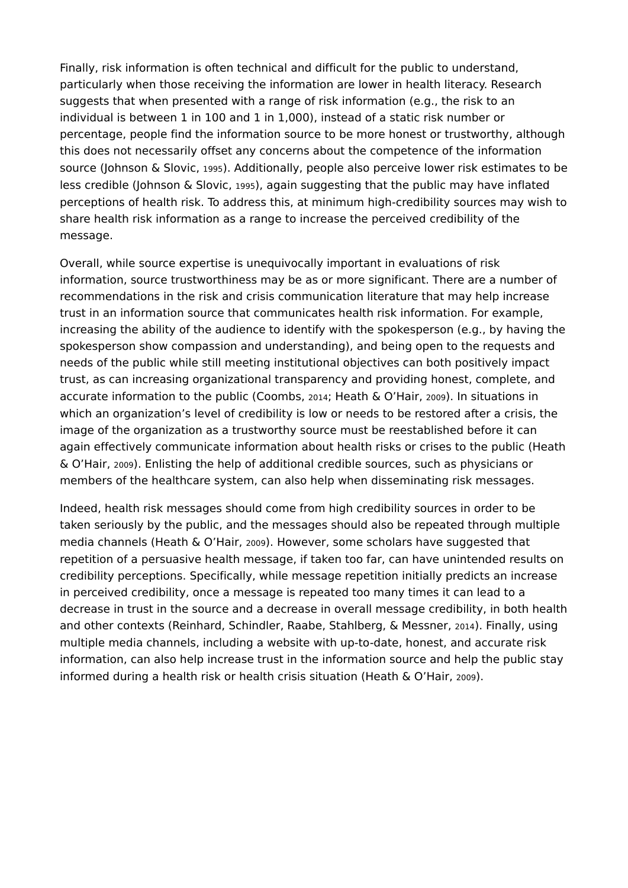Finally, risk information is often technical and difficult for the public to understand, particularly when those receiving the information are lower in health literacy. Research suggests that when presented with a range of risk information (e.g., the risk to an individual is between 1 in 100 and 1 in 1,000), instead of a static risk number or percentage, people find the information source to be more honest or trustworthy, although this does not necessarily offset any concerns about the competence of the information source (Johnson & Slovic, 1995). Additionally, people also perceive lower risk estimates to be less credible (Johnson & Slovic, 1995), again suggesting that the public may have inflated perceptions of health risk. To address this, at minimum high-credibility sources may wish to share health risk information as a range to increase the perceived credibility of the message.

Overall, while source expertise is unequivocally important in evaluations of risk information, source trustworthiness may be as or more significant. There are a number of recommendations in the risk and crisis communication literature that may help increase trust in an information source that communicates health risk information. For example, increasing the ability of the audience to identify with the spokesperson (e.g., by having the spokesperson show compassion and understanding), and being open to the requests and needs of the public while still meeting institutional objectives can both positively impact trust, as can increasing organizational transparency and providing honest, complete, and accurate information to the public (Coombs, 2014; Heath & O'Hair, 2009). In situations in which an organization's level of credibility is low or needs to be restored after a crisis, the image of the organization as a trustworthy source must be reestablished before it can again effectively communicate information about health risks or crises to the public (Heath & O'Hair, 2009). Enlisting the help of additional credible sources, such as physicians or members of the healthcare system, can also help when disseminating risk messages.

Indeed, health risk messages should come from high credibility sources in order to be taken seriously by the public, and the messages should also be repeated through multiple media channels (Heath & O'Hair, 2009). However, some scholars have suggested that repetition of a persuasive health message, if taken too far, can have unintended results on credibility perceptions. Specifically, while message repetition initially predicts an increase in perceived credibility, once a message is repeated too many times it can lead to a decrease in trust in the source and a decrease in overall message credibility, in both health and other contexts (Reinhard, Schindler, Raabe, Stahlberg, & Messner, 2014). Finally, using multiple media channels, including a website with up-to-date, honest, and accurate risk information, can also help increase trust in the information source and help the public stay informed during a health risk or health crisis situation (Heath & O'Hair, 2009).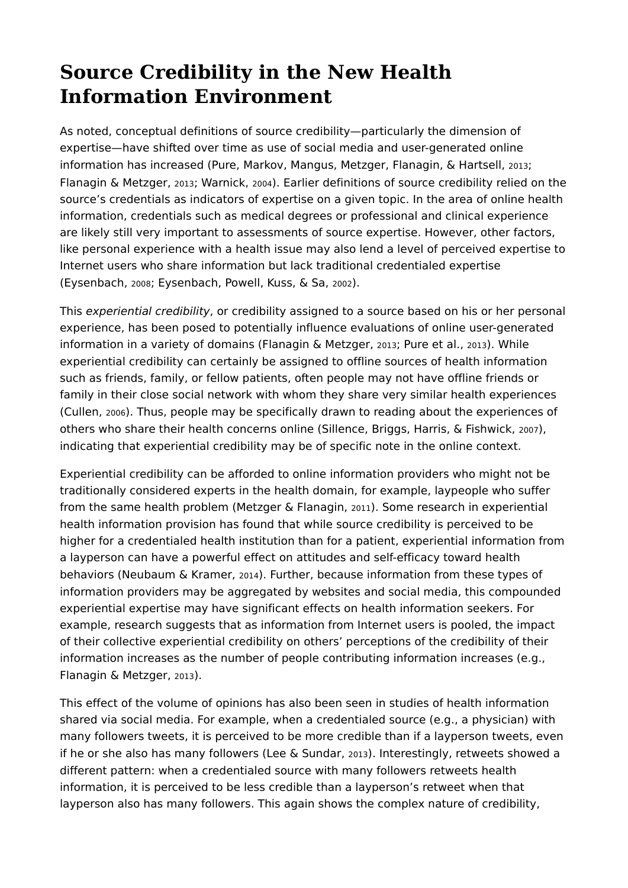## **Source Credibility in the New Health Information Environment**

As noted, conceptual definitions of source credibility—particularly the dimension of expertise—have shifted over time as use of social media and user-generated online information has increased (Pure, Markov, Mangus, Metzger, Flanagin, & Hartsell, 2013; Flanagin & Metzger, 2013; Warnick, 2004). Earlier definitions of source credibility relied on the source's credentials as indicators of expertise on a given topic. In the area of online health information, credentials such as medical degrees or professional and clinical experience are likely still very important to assessments of source expertise. However, other factors, like personal experience with a health issue may also lend a level of perceived expertise to Internet users who share information but lack traditional credentialed expertise (Eysenbach, 2008; Eysenbach, Powell, Kuss, & Sa, 2002).

This *experiential credibility*, or credibility assigned to a source based on his or her personal experience, has been posed to potentially influence evaluations of online user-generated information in a variety of domains (Flanagin & Metzger, 2013; Pure et al., 2013). While experiential credibility can certainly be assigned to offline sources of health information such as friends, family, or fellow patients, often people may not have offline friends or family in their close social network with whom they share very similar health experiences (Cullen, 2006). Thus, people may be specifically drawn to reading about the experiences of others who share their health concerns online (Sillence, Briggs, Harris, & Fishwick, 2007), indicating that experiential credibility may be of specific note in the online context.

Experiential credibility can be afforded to online information providers who might not be traditionally considered experts in the health domain, for example, laypeople who suffer from the same health problem (Metzger & Flanagin, 2011). Some research in experiential health information provision has found that while source credibility is perceived to be higher for a credentialed health institution than for a patient, experiential information from a layperson can have a powerful effect on attitudes and self-efficacy toward health behaviors (Neubaum & Kramer, 2014). Further, because information from these types of information providers may be aggregated by websites and social media, this compounded experiential expertise may have significant effects on health information seekers. For example, research suggests that as information from Internet users is pooled, the impact of their collective experiential credibility on others' perceptions of the credibility of their information increases as the number of people contributing information increases (e.g., Flanagin & Metzger, 2013).

This effect of the volume of opinions has also been seen in studies of health information shared via social media. For example, when a credentialed source (e.g., a physician) with many followers tweets, it is perceived to be more credible than if a layperson tweets, even if he or she also has many followers (Lee & Sundar, 2013). Interestingly, retweets showed a different pattern: when a credentialed source with many followers retweets health information, it is perceived to be less credible than a layperson's retweet when that layperson also has many followers. This again shows the complex nature of credibility,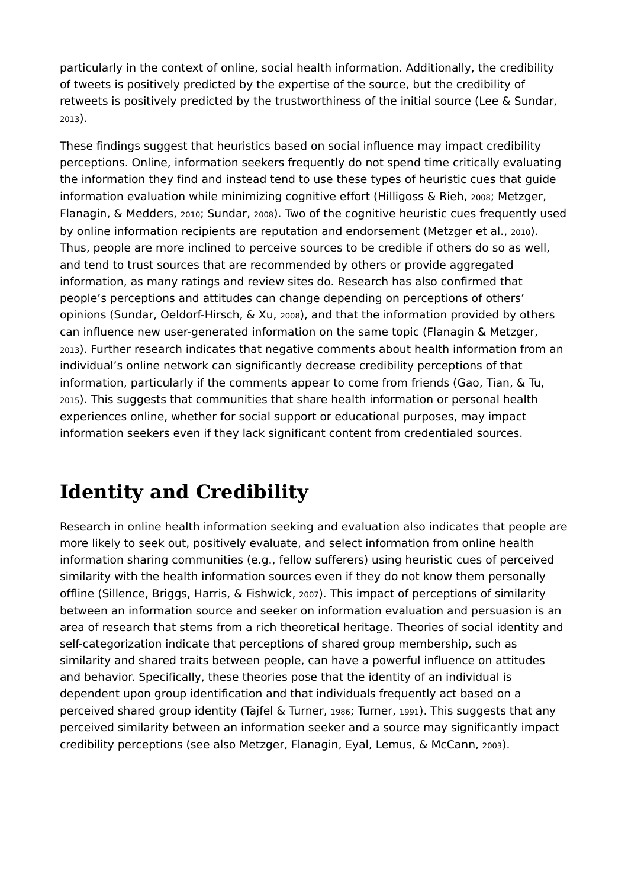particularly in the context of online, social health information. Additionally, the credibility of tweets is positively predicted by the expertise of the source, but the credibility of retweets is positively predicted by the trustworthiness of the initial source (Lee & Sundar, <sup>2013</sup>).

These findings suggest that heuristics based on social influence may impact credibility perceptions. Online, information seekers frequently do not spend time critically evaluating the information they find and instead tend to use these types of heuristic cues that guide information evaluation while minimizing cognitive effort (Hilligoss & Rieh, 2008; Metzger, Flanagin, & Medders, 2010; Sundar, 2008). Two of the cognitive heuristic cues frequently used by online information recipients are reputation and endorsement (Metzger et al., 2010). Thus, people are more inclined to perceive sources to be credible if others do so as well, and tend to trust sources that are recommended by others or provide aggregated information, as many ratings and review sites do. Research has also confirmed that people's perceptions and attitudes can change depending on perceptions of others' opinions (Sundar, Oeldorf-Hirsch, & Xu, 2008), and that the information provided by others can influence new user-generated information on the same topic (Flanagin & Metzger, 2013). Further research indicates that negative comments about health information from an individual's online network can significantly decrease credibility perceptions of that information, particularly if the comments appear to come from friends (Gao, Tian, & Tu, 2015). This suggests that communities that share health information or personal health experiences online, whether for social support or educational purposes, may impact information seekers even if they lack significant content from credentialed sources.

#### **Identity and Credibility**

Research in online health information seeking and evaluation also indicates that people are more likely to seek out, positively evaluate, and select information from online health information sharing communities (e.g., fellow sufferers) using heuristic cues of perceived similarity with the health information sources even if they do not know them personally offline (Sillence, Briggs, Harris, & Fishwick, 2007). This impact of perceptions of similarity between an information source and seeker on information evaluation and persuasion is an area of research that stems from a rich theoretical heritage. Theories of social identity and self-categorization indicate that perceptions of shared group membership, such as similarity and shared traits between people, can have a powerful influence on attitudes and behavior. Specifically, these theories pose that the identity of an individual is dependent upon group identification and that individuals frequently act based on a perceived shared group identity (Tajfel & Turner, 1986; Turner, 1991). This suggests that any perceived similarity between an information seeker and a source may significantly impact credibility perceptions (see also Metzger, Flanagin, Eyal, Lemus, & McCann, 2003).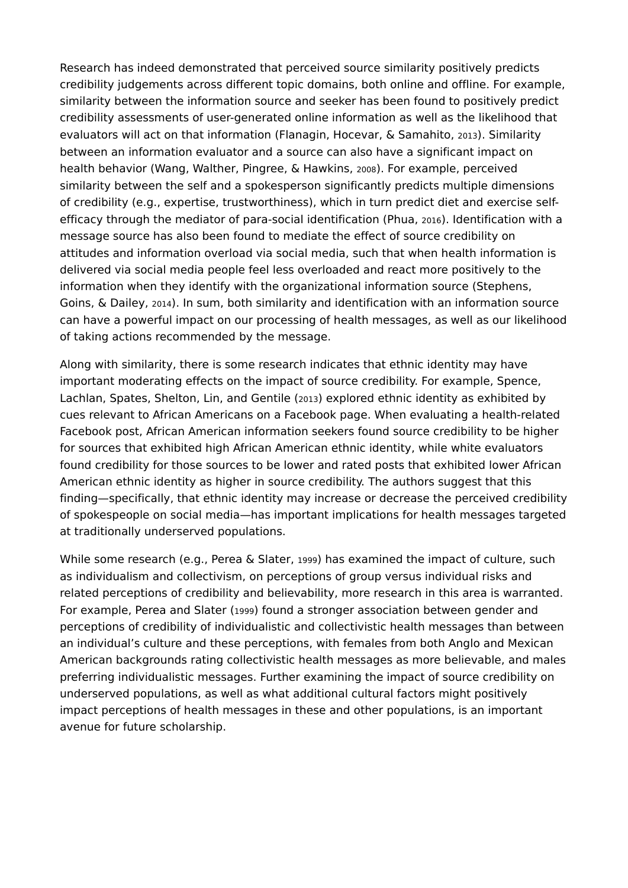Research has indeed demonstrated that perceived source similarity positively predicts credibility judgements across different topic domains, both online and offline. For example, similarity between the information source and seeker has been found to positively predict credibility assessments of user-generated online information as well as the likelihood that evaluators will act on that information (Flanagin, Hocevar, & Samahito, 2013). Similarity between an information evaluator and a source can also have a significant impact on health behavior (Wang, Walther, Pingree, & Hawkins, 2008). For example, perceived similarity between the self and a spokesperson significantly predicts multiple dimensions of credibility (e.g., expertise, trustworthiness), which in turn predict diet and exercise selfefficacy through the mediator of para-social identification (Phua, 2016). Identification with a message source has also been found to mediate the effect of source credibility on attitudes and information overload via social media, such that when health information is delivered via social media people feel less overloaded and react more positively to the information when they identify with the organizational information source (Stephens, Goins, & Dailey, 2014). In sum, both similarity and identification with an information source can have a powerful impact on our processing of health messages, as well as our likelihood of taking actions recommended by the message.

Along with similarity, there is some research indicates that ethnic identity may have important moderating effects on the impact of source credibility. For example, Spence, Lachlan, Spates, Shelton, Lin, and Gentile (2013) explored ethnic identity as exhibited by cues relevant to African Americans on a Facebook page. When evaluating a health-related Facebook post, African American information seekers found source credibility to be higher for sources that exhibited high African American ethnic identity, while white evaluators found credibility for those sources to be lower and rated posts that exhibited lower African American ethnic identity as higher in source credibility. The authors suggest that this finding—specifically, that ethnic identity may increase or decrease the perceived credibility of spokespeople on social media—has important implications for health messages targeted at traditionally underserved populations.

While some research (e.g., Perea & Slater, 1999) has examined the impact of culture, such as individualism and collectivism, on perceptions of group versus individual risks and related perceptions of credibility and believability, more research in this area is warranted. For example, Perea and Slater (1999) found a stronger association between gender and perceptions of credibility of individualistic and collectivistic health messages than between an individual's culture and these perceptions, with females from both Anglo and Mexican American backgrounds rating collectivistic health messages as more believable, and males preferring individualistic messages. Further examining the impact of source credibility on underserved populations, as well as what additional cultural factors might positively impact perceptions of health messages in these and other populations, is an important avenue for future scholarship.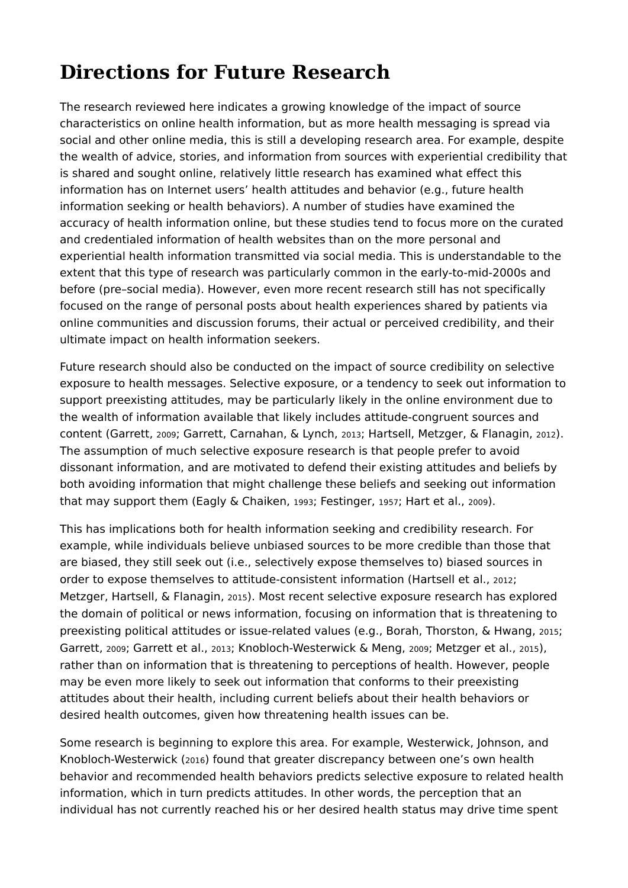## **Directions for Future Research**

The research reviewed here indicates a growing knowledge of the impact of source characteristics on online health information, but as more health messaging is spread via social and other online media, this is still a developing research area. For example, despite the wealth of advice, stories, and information from sources with experiential credibility that is shared and sought online, relatively little research has examined what effect this information has on Internet users' health attitudes and behavior (e.g., future health information seeking or health behaviors). A number of studies have examined the accuracy of health information online, but these studies tend to focus more on the curated and credentialed information of health websites than on the more personal and experiential health information transmitted via social media. This is understandable to the extent that this type of research was particularly common in the early-to-mid-2000s and before (pre–social media). However, even more recent research still has not specifically focused on the range of personal posts about health experiences shared by patients via online communities and discussion forums, their actual or perceived credibility, and their ultimate impact on health information seekers.

Future research should also be conducted on the impact of source credibility on selective exposure to health messages. Selective exposure, or a tendency to seek out information to support preexisting attitudes, may be particularly likely in the online environment due to the wealth of information available that likely includes attitude-congruent sources and content (Garrett, 2009; Garrett, Carnahan, & Lynch, 2013; Hartsell, Metzger, & Flanagin, 2012). The assumption of much selective exposure research is that people prefer to avoid dissonant information, and are motivated to defend their existing attitudes and beliefs by both avoiding information that might challenge these beliefs and seeking out information that may support them (Eagly & Chaiken, 1993; Festinger, 1957; Hart et al., 2009).

This has implications both for health information seeking and credibility research. For example, while individuals believe unbiased sources to be more credible than those that are biased, they still seek out (i.e., selectively expose themselves to) biased sources in order to expose themselves to attitude-consistent information (Hartsell et al., 2012; Metzger, Hartsell, & Flanagin, 2015). Most recent selective exposure research has explored the domain of political or news information, focusing on information that is threatening to preexisting political attitudes or issue-related values (e.g., Borah, Thorston, & Hwang, 2015; Garrett, 2009; Garrett et al., 2013; Knobloch-Westerwick & Meng, 2009; Metzger et al., 2015), rather than on information that is threatening to perceptions of health. However, people may be even more likely to seek out information that conforms to their preexisting attitudes about their health, including current beliefs about their health behaviors or desired health outcomes, given how threatening health issues can be.

Some research is beginning to explore this area. For example, Westerwick, Johnson, and Knobloch-Westerwick (2016) found that greater discrepancy between one's own health behavior and recommended health behaviors predicts selective exposure to related health information, which in turn predicts attitudes. In other words, the perception that an individual has not currently reached his or her desired health status may drive time spent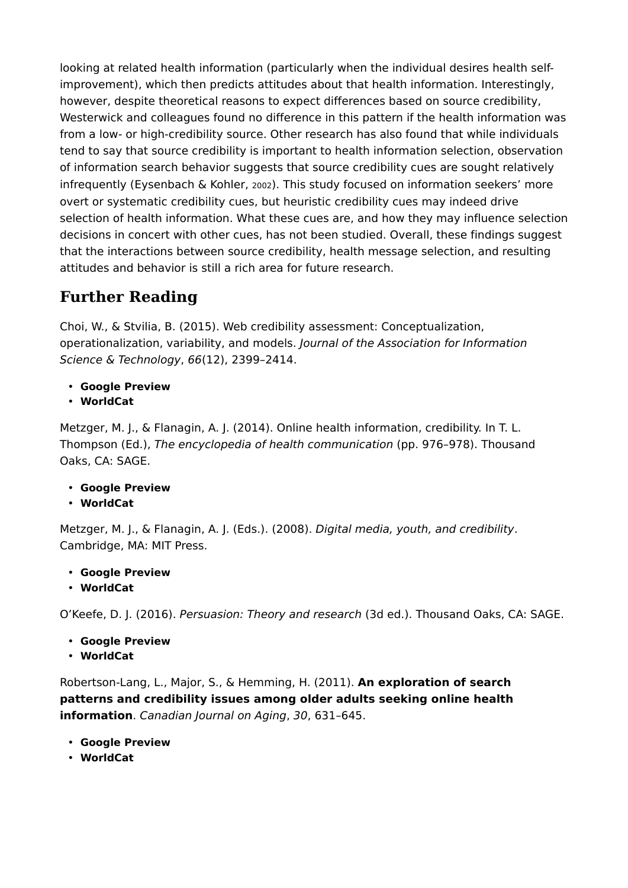looking at related health information (particularly when the individual desires health selfimprovement), which then predicts attitudes about that health information. Interestingly, however, despite theoretical reasons to expect differences based on source credibility, Westerwick and colleagues found no difference in this pattern if the health information was from a low- or high-credibility source. Other research has also found that while individuals tend to say that source credibility is important to health information selection, observation of information search behavior suggests that source credibility cues are sought relatively infrequently (Eysenbach & Kohler, 2002). This study focused on information seekers' more overt or systematic credibility cues, but heuristic credibility cues may indeed drive selection of health information. What these cues are, and how they may influence selection decisions in concert with other cues, has not been studied. Overall, these findings suggest that the interactions between source credibility, health message selection, and resulting attitudes and behavior is still a rich area for future research.

#### **Further Reading**

Choi, W., & Stvilia, B. (2015). Web credibility assessment: Conceptualization, operationalization, variability, and models. *Journal of the Association for Information Science & Technology*, *66*(12), 2399–2414.

- **Google Preview**
- **WorldCat**

Metzger, M. J., & Flanagin, A. J. (2014). Online health information, credibility. In T. L. Thompson (Ed.), *The encyclopedia of health communication* (pp. 976–978). Thousand Oaks, CA: SAGE.

- **Google Preview**
- **WorldCat**

Metzger, M. J., & Flanagin, A. J. (Eds.). (2008). *Digital media, youth, and credibility*. Cambridge, MA: MIT Press.

- **Google Preview**
- **WorldCat**

O'Keefe, D. J. (2016). *Persuasion: Theory and research* (3d ed.). Thousand Oaks, CA: SAGE.

- **Google Preview**
- **WorldCat**

Robertson-Lang, L., Major, S., & Hemming, H. (2011). **An exploration of search patterns and credibility issues among older adults seeking online health information**. *Canadian Journal on Aging*, *30*, 631–645.

- **Google Preview**
- **WorldCat**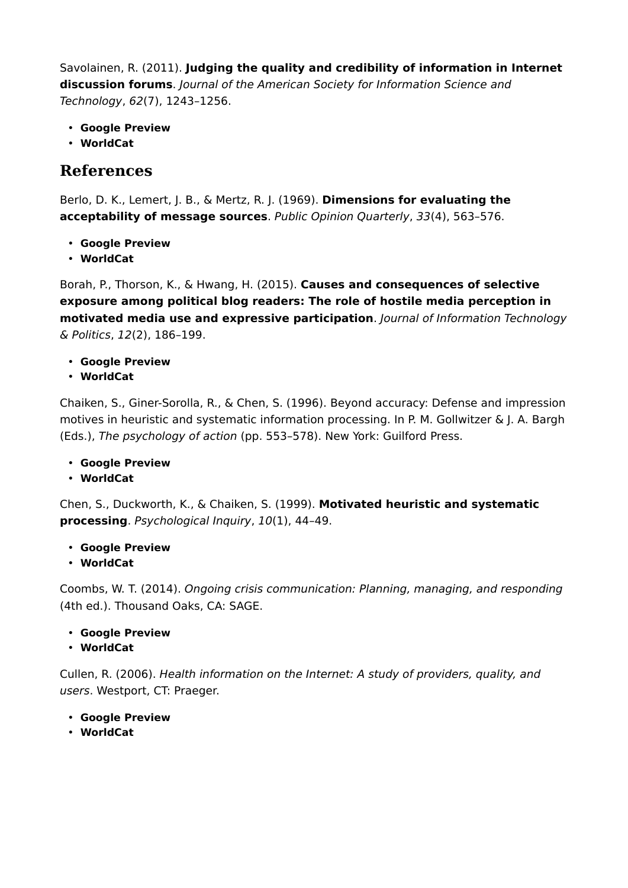Savolainen, R. (2011). **Judging the quality and credibility of information in Internet discussion forums**. *Journal of the American Society for Information Science and Technology*, *62*(7), 1243–1256.

- **Google Preview**
- **WorldCat**

#### **References**

Berlo, D. K., Lemert, J. B., & Mertz, R. J. (1969). **Dimensions for evaluating the acceptability of message sources**. *Public Opinion Quarterly*, *33*(4), 563–576.

- **Google Preview**
- **WorldCat**

Borah, P., Thorson, K., & Hwang, H. (2015). **Causes and consequences of selective exposure among political blog readers: The role of hostile media perception in motivated media use and expressive participation**. *Journal of Information Technology & Politics*, *12*(2), 186–199.

- **Google Preview**
- **WorldCat**

Chaiken, S., Giner-Sorolla, R., & Chen, S. (1996). Beyond accuracy: Defense and impression motives in heuristic and systematic information processing. In P. M. Gollwitzer & J. A. Bargh (Eds.), *The psychology of action* (pp. 553–578). New York: Guilford Press.

- **Google Preview**
- **WorldCat**

Chen, S., Duckworth, K., & Chaiken, S. (1999). **Motivated heuristic and systematic processing**. *Psychological Inquiry*, *10*(1), 44–49.

- **Google Preview**
- **WorldCat**

Coombs, W. T. (2014). *Ongoing crisis communication: Planning, managing, and responding* (4th ed.). Thousand Oaks, CA: SAGE.

- **Google Preview**
- **WorldCat**

Cullen, R. (2006). *Health information on the Internet: A study of providers, quality, and users*. Westport, CT: Praeger.

- **Google Preview**
- **WorldCat**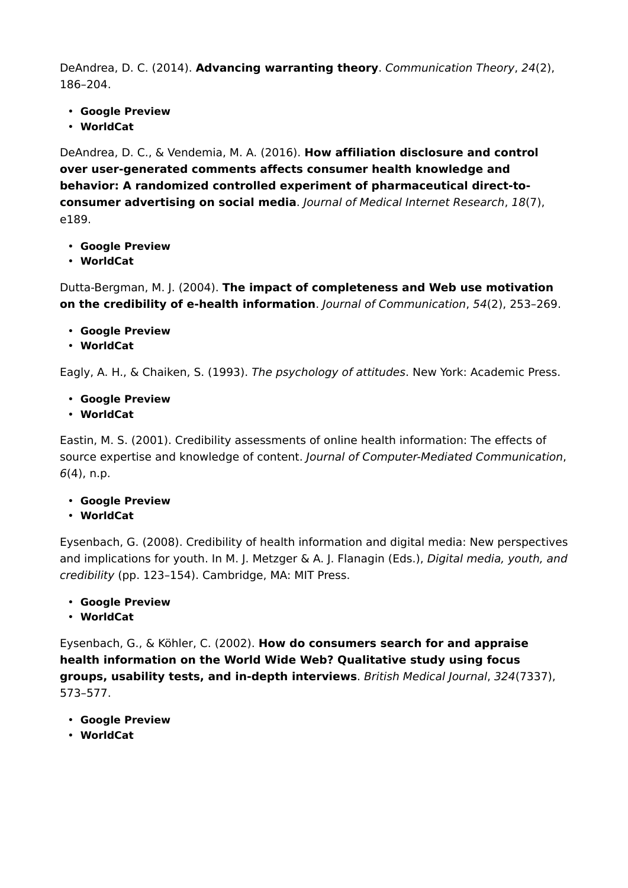DeAndrea, D. C. (2014). **Advancing warranting theory**. *Communication Theory*, *24*(2), 186–204.

- **Google Preview**
- **WorldCat**

DeAndrea, D. C., & Vendemia, M. A. (2016). **How affiliation disclosure and control over user-generated comments affects consumer health knowledge and behavior: A randomized controlled experiment of pharmaceutical direct-toconsumer advertising on social media**. *Journal of Medical Internet Research*, *18*(7), e189.

- **Google Preview**
- **WorldCat**

Dutta-Bergman, M. J. (2004). **The impact of completeness and Web use motivation on the credibility of e-health information**. *Journal of Communication*, *54*(2), 253–269.

- **Google Preview**
- **WorldCat**

Eagly, A. H., & Chaiken, S. (1993). *The psychology of attitudes*. New York: Academic Press.

- **Google Preview**
- **WorldCat**

Eastin, M. S. (2001). Credibility assessments of online health information: The effects of source expertise and knowledge of content. *Journal of Computer-Mediated Communication*, *6*(4), n.p.

- **Google Preview**
- **WorldCat**

Eysenbach, G. (2008). Credibility of health information and digital media: New perspectives and implications for youth. In M. J. Metzger & A. J. Flanagin (Eds.), *Digital media, youth, and credibility* (pp. 123–154). Cambridge, MA: MIT Press.

- **Google Preview**
- **WorldCat**

Eysenbach, G., & Köhler, C. (2002). **How do consumers search for and appraise health information on the World Wide Web? Qualitative study using focus groups, usability tests, and in-depth interviews**. *British Medical Journal*, *324*(7337), 573–577.

- **Google Preview**
- **WorldCat**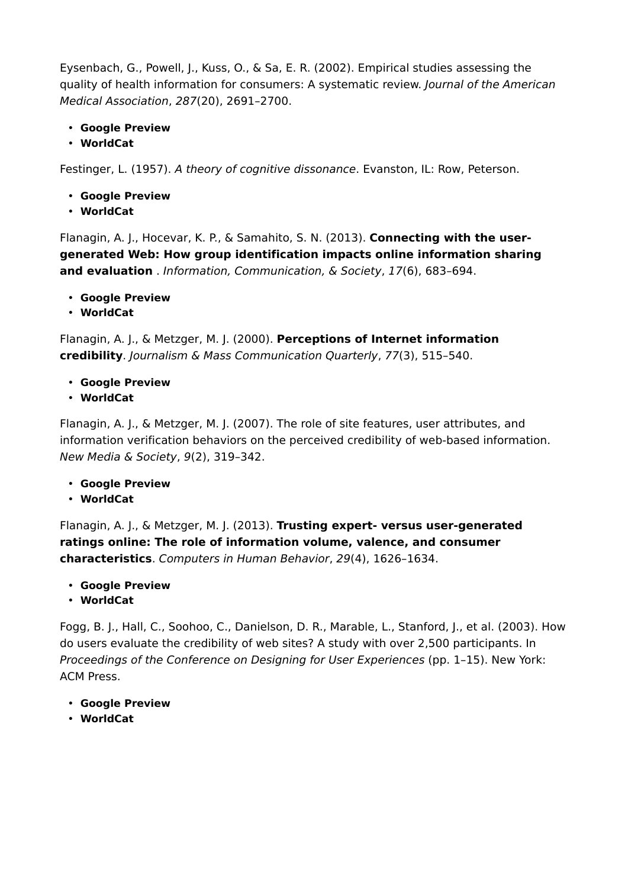Eysenbach, G., Powell, J., Kuss, O., & Sa, E. R. (2002). Empirical studies assessing the quality of health information for consumers: A systematic review. *Journal of the American Medical Association*, *287*(20), 2691–2700.

- **Google Preview**
- **WorldCat**

Festinger, L. (1957). *A theory of cognitive dissonance*. Evanston, IL: Row, Peterson.

- **Google Preview**
- **WorldCat**

Flanagin, A. J., Hocevar, K. P., & Samahito, S. N. (2013). **Connecting with the usergenerated Web: How group identification impacts online information sharing and evaluation** . *Information, Communication, & Society*, *17*(6), 683–694.

- **Google Preview**
- **WorldCat**

Flanagin, A. J., & Metzger, M. J. (2000). **Perceptions of Internet information credibility**. *Journalism & Mass Communication Quarterly*, *77*(3), 515–540.

- **Google Preview**
- **WorldCat**

Flanagin, A. J., & Metzger, M. J. (2007). The role of site features, user attributes, and information verification behaviors on the perceived credibility of web-based information. *New Media & Society*, *9*(2), 319–342.

- **Google Preview**
- **WorldCat**

Flanagin, A. J., & Metzger, M. J. (2013). **Trusting expert- versus user-generated ratings online: The role of information volume, valence, and consumer characteristics**. *Computers in Human Behavior*, *29*(4), 1626–1634.

- **Google Preview**
- **WorldCat**

Fogg, B. J., Hall, C., Soohoo, C., Danielson, D. R., Marable, L., Stanford, J., et al. (2003). How do users evaluate the credibility of web sites? A study with over 2,500 participants. In *Proceedings of the Conference on Designing for User Experiences* (pp. 1–15). New York: ACM Press.

- **Google Preview**
- **WorldCat**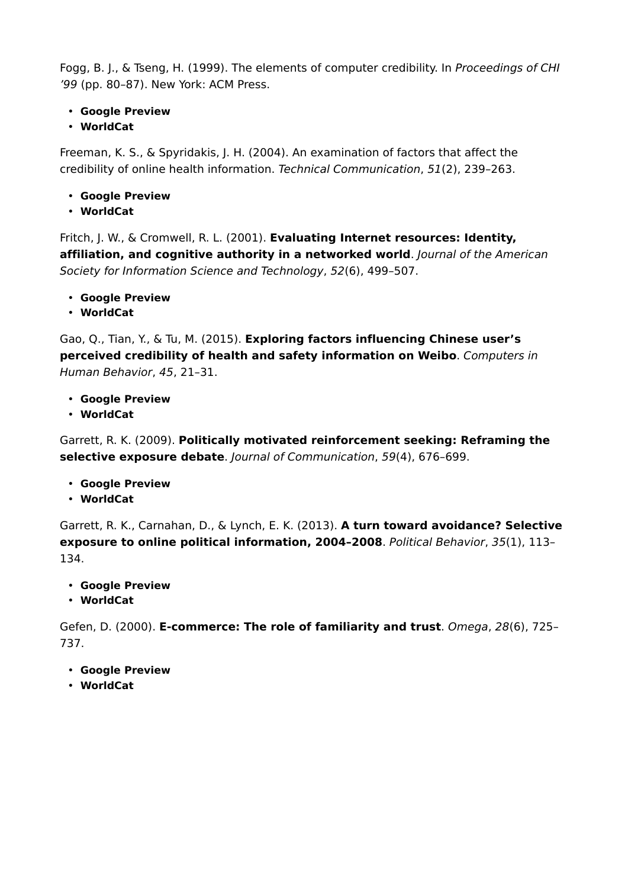Fogg, B. J., & Tseng, H. (1999). The elements of computer credibility. In *Proceedings of CHI '99* (pp. 80–87). New York: ACM Press.

- **Google Preview**
- **WorldCat**

Freeman, K. S., & Spyridakis, J. H. (2004). An examination of factors that affect the credibility of online health information. *Technical Communication*, *51*(2), 239–263.

- **Google Preview**
- **WorldCat**

Fritch, J. W., & Cromwell, R. L. (2001). **Evaluating Internet resources: Identity, affiliation, and cognitive authority in a networked world**. *Journal of the American Society for Information Science and Technology*, *52*(6), 499–507.

- **Google Preview**
- **WorldCat**

Gao, Q., Tian, Y., & Tu, M. (2015). **Exploring factors influencing Chinese user's perceived credibility of health and safety information on Weibo**. *Computers in Human Behavior*, *45*, 21–31.

- **Google Preview**
- **WorldCat**

Garrett, R. K. (2009). **Politically motivated reinforcement seeking: Reframing the selective exposure debate**. *Journal of Communication*, *59*(4), 676–699.

- **Google Preview**
- **WorldCat**

Garrett, R. K., Carnahan, D., & Lynch, E. K. (2013). **A turn toward avoidance? Selective exposure to online political information, 2004–2008**. *Political Behavior*, *35*(1), 113– 134.

- **Google Preview**
- **WorldCat**

Gefen, D. (2000). **E-commerce: The role of familiarity and trust**. *Omega*, *28*(6), 725– 737.

- **Google Preview**
- **WorldCat**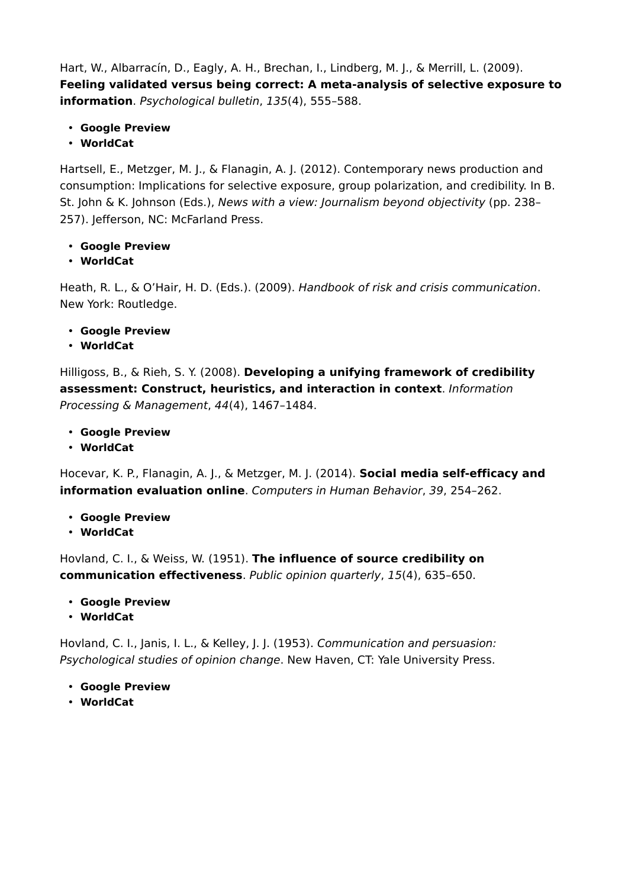Hart, W., Albarracín, D., Eagly, A. H., Brechan, I., Lindberg, M. J., & Merrill, L. (2009). **Feeling validated versus being correct: A meta-analysis of selective exposure to information**. *Psychological bulletin*, *135*(4), 555–588.

- **Google Preview**
- **WorldCat**

Hartsell, E., Metzger, M. J., & Flanagin, A. J. (2012). Contemporary news production and consumption: Implications for selective exposure, group polarization, and credibility. In B. St. John & K. Johnson (Eds.), *News with a view: Journalism beyond objectivity* (pp. 238– 257). Jefferson, NC: McFarland Press.

- **Google Preview**
- **WorldCat**

Heath, R. L., & O'Hair, H. D. (Eds.). (2009). *Handbook of risk and crisis communication*. New York: Routledge.

- **Google Preview**
- **WorldCat**

Hilligoss, B., & Rieh, S. Y. (2008). **Developing a unifying framework of credibility assessment: Construct, heuristics, and interaction in context**. *Information Processing & Management*, *44*(4), 1467–1484.

- **Google Preview**
- **WorldCat**

Hocevar, K. P., Flanagin, A. J., & Metzger, M. J. (2014). **Social media self-efficacy and information evaluation online**. *Computers in Human Behavior*, *39*, 254–262.

- **Google Preview**
- **WorldCat**

Hovland, C. I., & Weiss, W. (1951). **The influence of source credibility on communication effectiveness**. *Public opinion quarterly*, *15*(4), 635–650.

- **Google Preview**
- **WorldCat**

Hovland, C. I., Janis, I. L., & Kelley, J. J. (1953). *Communication and persuasion: Psychological studies of opinion change*. New Haven, CT: Yale University Press.

- **Google Preview**
- **WorldCat**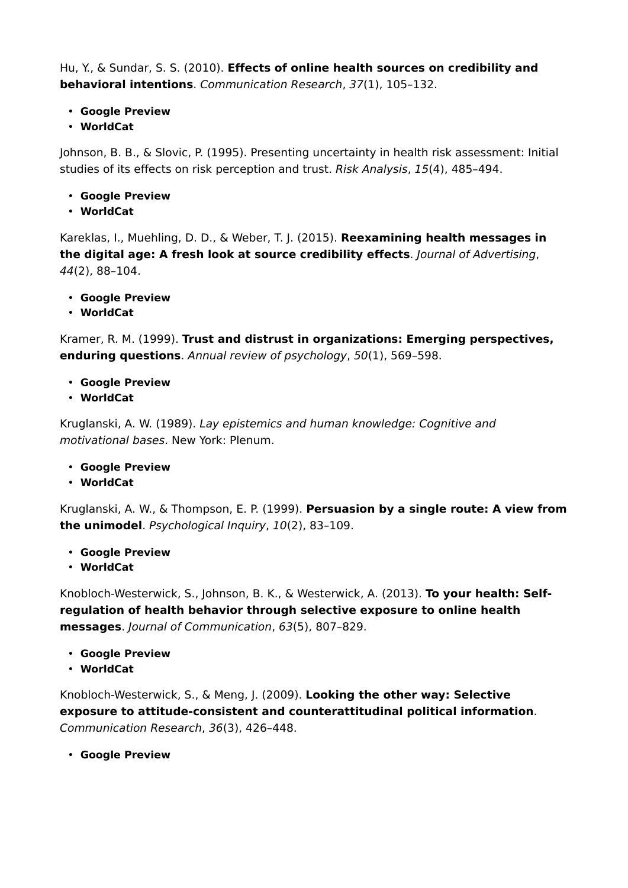Hu, Y., & Sundar, S. S. (2010). **Effects of online health sources on credibility and behavioral intentions**. *Communication Research*, *37*(1), 105–132.

- **Google Preview**
- **WorldCat**

Johnson, B. B., & Slovic, P. (1995). Presenting uncertainty in health risk assessment: Initial studies of its effects on risk perception and trust. *Risk Analysis*, *15*(4), 485–494.

- **Google Preview**
- **WorldCat**

Kareklas, I., Muehling, D. D., & Weber, T. J. (2015). **Reexamining health messages in the digital age: A fresh look at source credibility effects**. *Journal of Advertising*, *44*(2), 88–104.

- **Google Preview**
- **WorldCat**

Kramer, R. M. (1999). **Trust and distrust in organizations: Emerging perspectives, enduring questions**. *Annual review of psychology*, *50*(1), 569–598.

- **Google Preview**
- **WorldCat**

Kruglanski, A. W. (1989). *Lay epistemics and human knowledge: Cognitive and motivational bases*. New York: Plenum.

- **Google Preview**
- **WorldCat**

Kruglanski, A. W., & Thompson, E. P. (1999). **Persuasion by a single route: A view from the unimodel**. *Psychological Inquiry*, *10*(2), 83–109.

- **Google Preview**
- **WorldCat**

Knobloch-Westerwick, S., Johnson, B. K., & Westerwick, A. (2013). **To your health: Self‐ regulation of health behavior through selective exposure to online health messages**. *Journal of Communication*, *63*(5), 807–829.

- **Google Preview**
- **WorldCat**

Knobloch-Westerwick, S., & Meng, J. (2009). **Looking the other way: Selective exposure to attitude-consistent and counterattitudinal political information**. *Communication Research*, *36*(3), 426–448.

• **Google Preview**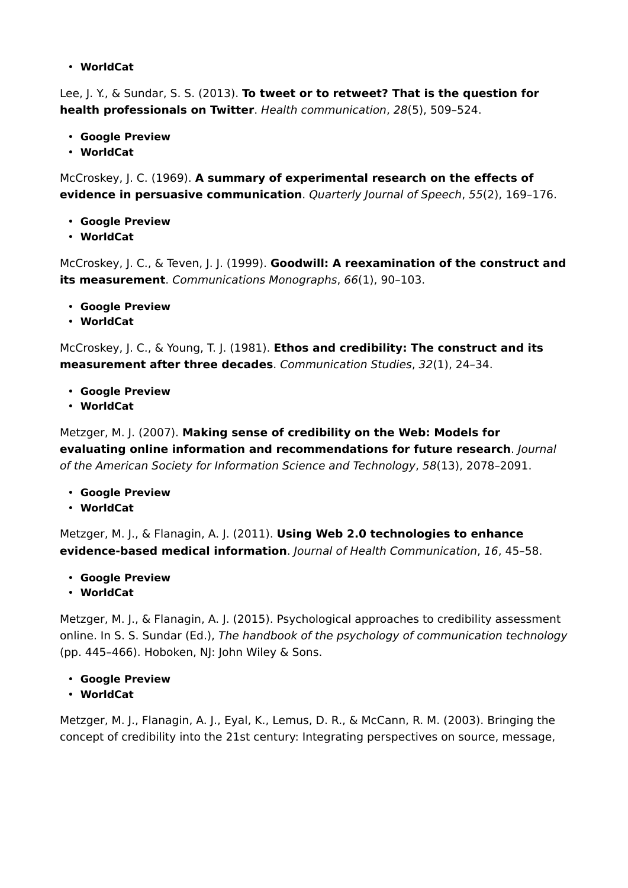• **WorldCat**

Lee, J. Y., & Sundar, S. S. (2013). **To tweet or to retweet? That is the question for health professionals on Twitter**. *Health communication*, *28*(5), 509–524.

- **Google Preview**
- **WorldCat**

McCroskey, J. C. (1969). **A summary of experimental research on the effects of evidence in persuasive communication**. *Quarterly Journal of Speech*, *55*(2), 169–176.

- **Google Preview**
- **WorldCat**

McCroskey, J. C., & Teven, J. J. (1999). **Goodwill: A reexamination of the construct and its measurement**. *Communications Monographs*, *66*(1), 90–103.

- **Google Preview**
- **WorldCat**

McCroskey, J. C., & Young, T. J. (1981). **Ethos and credibility: The construct and its measurement after three decades**. *Communication Studies*, *32*(1), 24–34.

- **Google Preview**
- **WorldCat**

Metzger, M. J. (2007). **Making sense of credibility on the Web: Models for evaluating online information and recommendations for future research**. *Journal of the American Society for Information Science and Technology*, *58*(13), 2078–2091.

- **Google Preview**
- **WorldCat**

Metzger, M. J., & Flanagin, A. J. (2011). **Using Web 2.0 technologies to enhance evidence-based medical information**. *Journal of Health Communication*, *16*, 45–58.

- **Google Preview**
- **WorldCat**

Metzger, M. J., & Flanagin, A. J. (2015). Psychological approaches to credibility assessment online. In S. S. Sundar (Ed.), *The handbook of the psychology of communication technology* (pp. 445–466). Hoboken, NJ: John Wiley & Sons.

- **Google Preview**
- **WorldCat**

Metzger, M. J., Flanagin, A. J., Eyal, K., Lemus, D. R., & McCann, R. M. (2003). Bringing the concept of credibility into the 21st century: Integrating perspectives on source, message,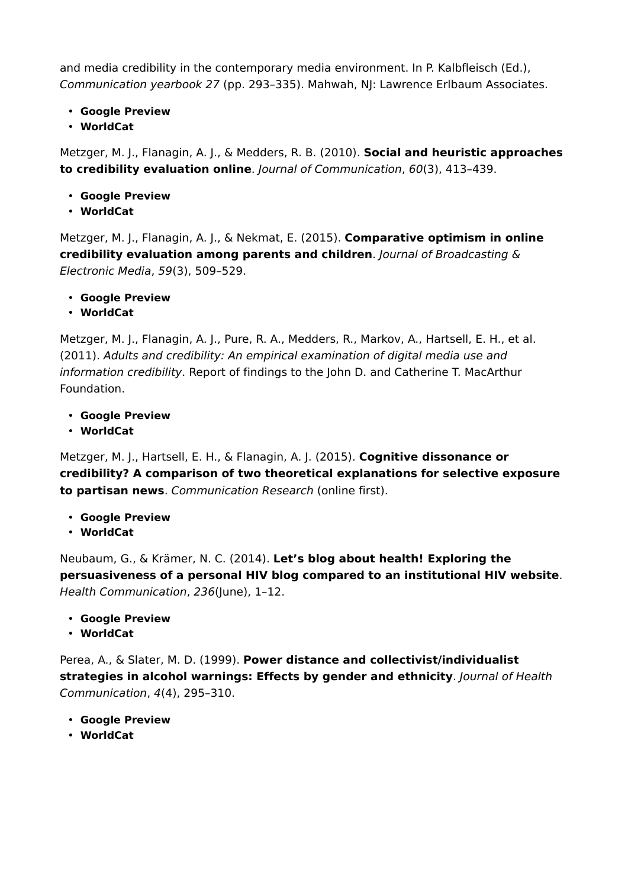and media credibility in the contemporary media environment. In P. Kalbfleisch (Ed.), *Communication yearbook 27* (pp. 293–335). Mahwah, NJ: Lawrence Erlbaum Associates.

- **Google Preview**
- **WorldCat**

Metzger, M. J., Flanagin, A. J., & Medders, R. B. (2010). **Social and heuristic approaches to credibility evaluation online**. *Journal of Communication*, *60*(3), 413–439.

- **Google Preview**
- **WorldCat**

Metzger, M. J., Flanagin, A. J., & Nekmat, E. (2015). **Comparative optimism in online credibility evaluation among parents and children**. *Journal of Broadcasting & Electronic Media*, *59*(3), 509–529.

- **Google Preview**
- **WorldCat**

Metzger, M. J., Flanagin, A. J., Pure, R. A., Medders, R., Markov, A., Hartsell, E. H., et al. (2011). *Adults and credibility: An empirical examination of digital media use and information credibility*. Report of findings to the John D. and Catherine T. MacArthur Foundation.

- **Google Preview**
- **WorldCat**

Metzger, M. J., Hartsell, E. H., & Flanagin, A. J. (2015). **Cognitive dissonance or credibility? A comparison of two theoretical explanations for selective exposure to partisan news**. *Communication Research* (online first).

- **Google Preview**
- **WorldCat**

Neubaum, G., & Krämer, N. C. (2014). **Let's blog about health! Exploring the persuasiveness of a personal HIV blog compared to an institutional HIV website**. *Health Communication*, *236*(June), 1–12.

- **Google Preview**
- **WorldCat**

Perea, A., & Slater, M. D. (1999). **Power distance and collectivist/individualist strategies in alcohol warnings: Effects by gender and ethnicity**. *Journal of Health Communication*, *4*(4), 295–310.

- **Google Preview**
- **WorldCat**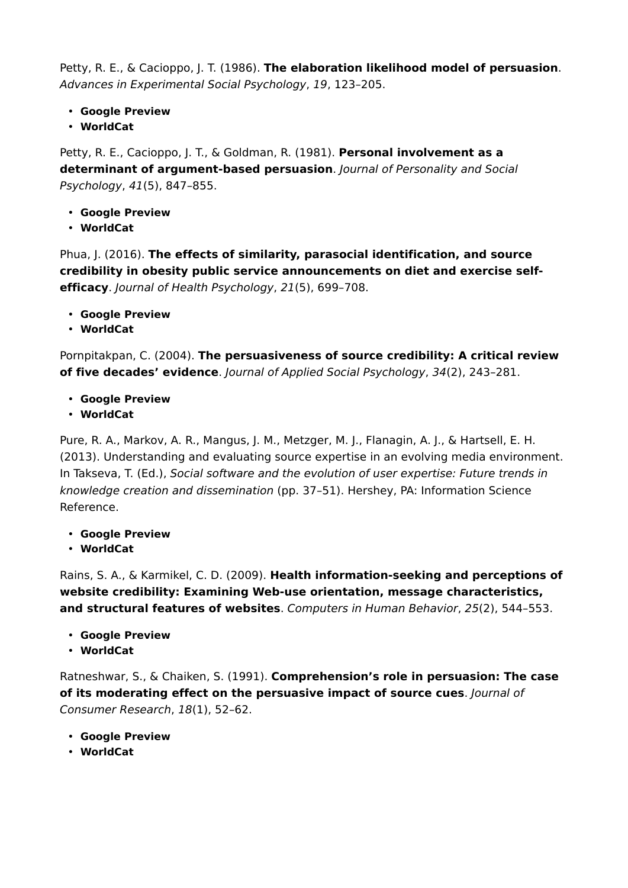Petty, R. E., & Cacioppo, J. T. (1986). **The elaboration likelihood model of persuasion**. *Advances in Experimental Social Psychology*, *19*, 123–205.

- **Google Preview**
- **WorldCat**

Petty, R. E., Cacioppo, J. T., & Goldman, R. (1981). **Personal involvement as a determinant of argument-based persuasion**. *Journal of Personality and Social Psychology*, *41*(5), 847–855.

- **Google Preview**
- **WorldCat**

Phua, J. (2016). **The effects of similarity, parasocial identification, and source credibility in obesity public service announcements on diet and exercise selfefficacy**. *Journal of Health Psychology*, *21*(5), 699–708.

- **Google Preview**
- **WorldCat**

Pornpitakpan, C. (2004). **The persuasiveness of source credibility: A critical review of five decades' evidence**. *Journal of Applied Social Psychology*, *34*(2), 243–281.

- **Google Preview**
- **WorldCat**

Pure, R. A., Markov, A. R., Mangus, J. M., Metzger, M. J., Flanagin, A. J., & Hartsell, E. H. (2013). Understanding and evaluating source expertise in an evolving media environment. In Takseva, T. (Ed.), *Social software and the evolution of user expertise: Future trends in knowledge creation and dissemination* (pp. 37–51). Hershey, PA: Information Science Reference.

- **Google Preview**
- **WorldCat**

Rains, S. A., & Karmikel, C. D. (2009). **Health information-seeking and perceptions of website credibility: Examining Web-use orientation, message characteristics, and structural features of websites**. *Computers in Human Behavior*, *25*(2), 544–553.

- **Google Preview**
- **WorldCat**

Ratneshwar, S., & Chaiken, S. (1991). **Comprehension's role in persuasion: The case of its moderating effect on the persuasive impact of source cues**. *Journal of Consumer Research*, *18*(1), 52–62.

- **Google Preview**
- **WorldCat**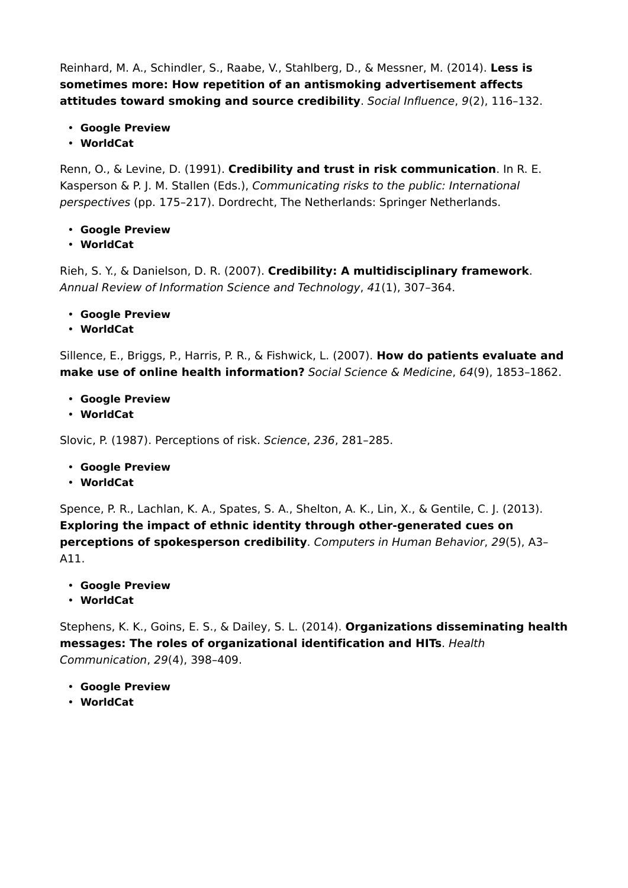Reinhard, M. A., Schindler, S., Raabe, V., Stahlberg, D., & Messner, M. (2014). **Less is sometimes more: How repetition of an antismoking advertisement affects attitudes toward smoking and source credibility**. *Social Influence*, *9*(2), 116–132.

- **Google Preview**
- **WorldCat**

Renn, O., & Levine, D. (1991). **Credibility and trust in risk communication**. In R. E. Kasperson & P. J. M. Stallen (Eds.), *Communicating risks to the public: International perspectives* (pp. 175–217). Dordrecht, The Netherlands: Springer Netherlands.

- **Google Preview**
- **WorldCat**

Rieh, S. Y., & Danielson, D. R. (2007). **Credibility: A multidisciplinary framework**. *Annual Review of Information Science and Technology*, *41*(1), 307–364.

- **Google Preview**
- **WorldCat**

Sillence, E., Briggs, P., Harris, P. R., & Fishwick, L. (2007). **How do patients evaluate and make use of online health information?** *Social Science & Medicine*, *64*(9), 1853–1862.

- **Google Preview**
- **WorldCat**

Slovic, P. (1987). Perceptions of risk. *Science*, *236*, 281–285.

- **Google Preview**
- **WorldCat**

Spence, P. R., Lachlan, K. A., Spates, S. A., Shelton, A. K., Lin, X., & Gentile, C. J. (2013). **Exploring the impact of ethnic identity through other-generated cues on perceptions of spokesperson credibility**. *Computers in Human Behavior*, *29*(5), A3– A11.

- **Google Preview**
- **WorldCat**

Stephens, K. K., Goins, E. S., & Dailey, S. L. (2014). **Organizations disseminating health messages: The roles of organizational identification and HITs**. *Health Communication*, *29*(4), 398–409.

- **Google Preview**
- **WorldCat**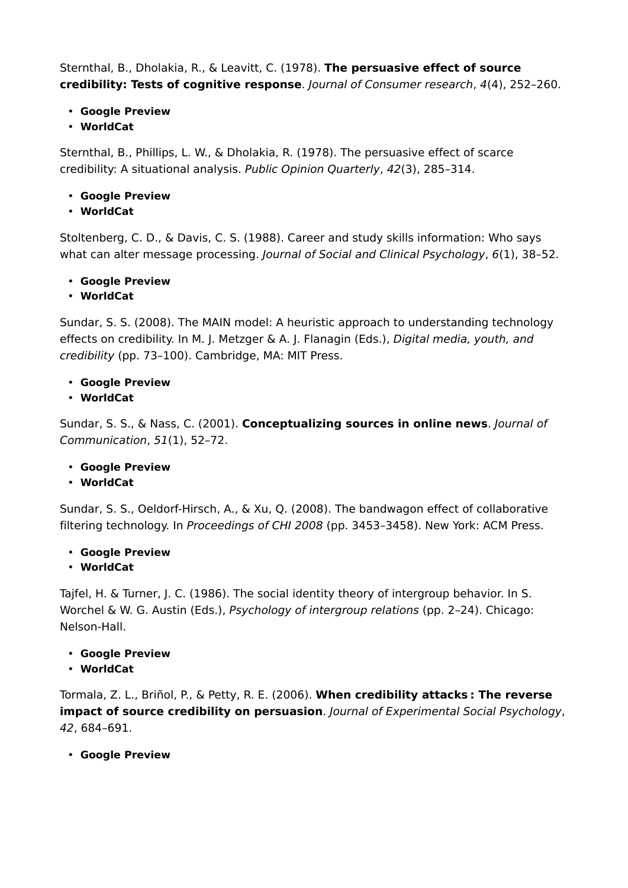Sternthal, B., Dholakia, R., & Leavitt, C. (1978). **The persuasive effect of source credibility: Tests of cognitive response**. *Journal of Consumer research*, *4*(4), 252–260.

- **Google Preview**
- **WorldCat**

Sternthal, B., Phillips, L. W., & Dholakia, R. (1978). The persuasive effect of scarce credibility: A situational analysis. *Public Opinion Quarterly*, *42*(3), 285–314.

- **Google Preview**
- **WorldCat**

Stoltenberg, C. D., & Davis, C. S. (1988). Career and study skills information: Who says what can alter message processing. *Journal of Social and Clinical Psychology*, *6*(1), 38–52.

- **Google Preview**
- **WorldCat**

Sundar, S. S. (2008). The MAIN model: A heuristic approach to understanding technology effects on credibility. In M. J. Metzger & A. J. Flanagin (Eds.), *Digital media, youth, and credibility* (pp. 73–100). Cambridge, MA: MIT Press.

- **Google Preview**
- **WorldCat**

Sundar, S. S., & Nass, C. (2001). **Conceptualizing sources in online news**. *Journal of Communication*, *51*(1), 52–72.

- **Google Preview**
- **WorldCat**

Sundar, S. S., Oeldorf-Hirsch, A., & Xu, Q. (2008). The bandwagon effect of collaborative filtering technology. In *Proceedings of CHI 2008* (pp. 3453–3458). New York: ACM Press.

- **Google Preview**
- **WorldCat**

Tajfel, H. & Turner, J. C. (1986). The social identity theory of intergroup behavior. In S. Worchel & W. G. Austin (Eds.), *Psychology of intergroup relations* (pp. 2–24). Chicago: Nelson-Hall.

- **Google Preview**
- **WorldCat**

Tormala, Z. L., Briñol, P., & Petty, R. E. (2006). **When credibility attacks : The reverse impact of source credibility on persuasion**. *Journal of Experimental Social Psychology*, *42*, 684–691.

• **Google Preview**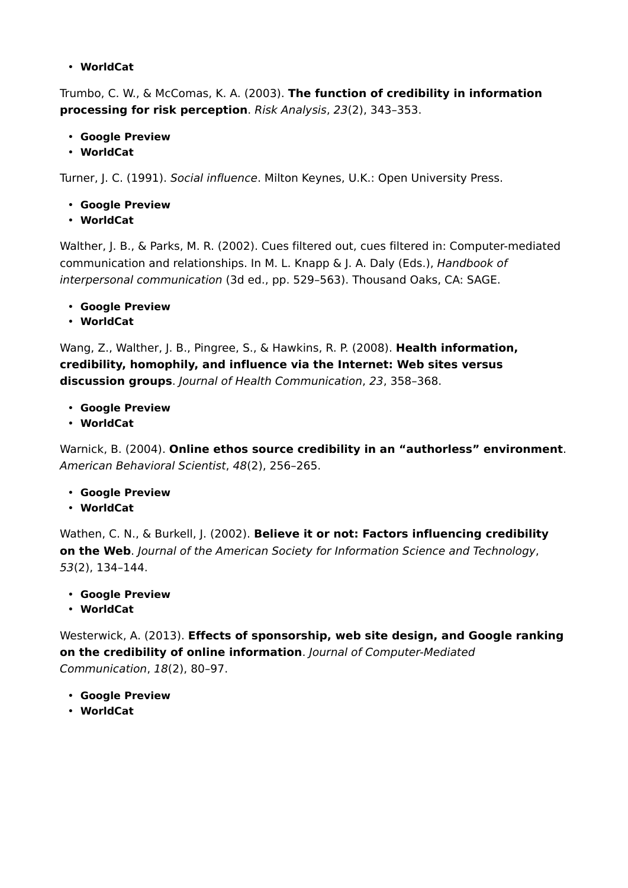#### • **WorldCat**

Trumbo, C. W., & McComas, K. A. (2003). **The function of credibility in information processing for risk perception**. *Risk Analysis*, *23*(2), 343–353.

- **Google Preview**
- **WorldCat**

Turner, J. C. (1991). *Social influence*. Milton Keynes, U.K.: Open University Press.

- **Google Preview**
- **WorldCat**

Walther, J. B., & Parks, M. R. (2002). Cues filtered out, cues filtered in: Computer-mediated communication and relationships. In M. L. Knapp & J. A. Daly (Eds.), *Handbook of interpersonal communication* (3d ed., pp. 529–563). Thousand Oaks, CA: SAGE.

- **Google Preview**
- **WorldCat**

Wang, Z., Walther, J. B., Pingree, S., & Hawkins, R. P. (2008). **Health information, credibility, homophily, and influence via the Internet: Web sites versus discussion groups**. *Journal of Health Communication*, *23*, 358–368.

- **Google Preview**
- **WorldCat**

Warnick, B. (2004). **Online ethos source credibility in an "authorless" environment**. *American Behavioral Scientist*, *48*(2), 256–265.

- **Google Preview**
- **WorldCat**

Wathen, C. N., & Burkell, J. (2002). **Believe it or not: Factors influencing credibility on the Web**. *Journal of the American Society for Information Science and Technology*, *53*(2), 134–144.

- **Google Preview**
- **WorldCat**

Westerwick, A. (2013). **Effects of sponsorship, web site design, and Google ranking on the credibility of online information**. *Journal of Computer-Mediated Communication*, *18*(2), 80–97.

- **Google Preview**
- **WorldCat**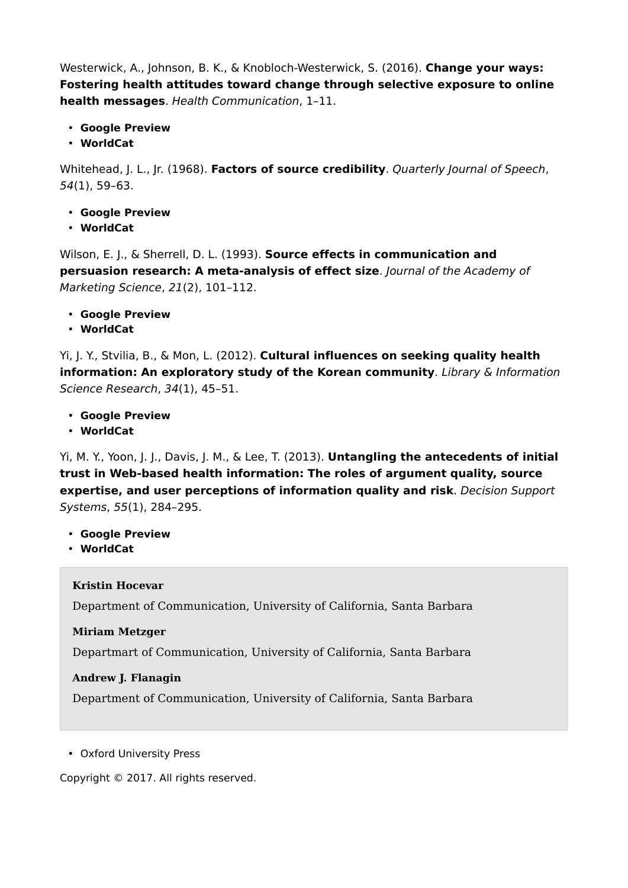Westerwick, A., Johnson, B. K., & Knobloch-Westerwick, S. (2016). **Change your ways: Fostering health attitudes toward change through selective exposure to online health messages**. *Health Communication*, 1–11.

- **Google Preview**
- **WorldCat**

Whitehead, J. L., Jr. (1968). **Factors of source credibility**. *Quarterly Journal of Speech*, *54*(1), 59–63.

- **Google Preview**
- **WorldCat**

Wilson, E. J., & Sherrell, D. L. (1993). **Source effects in communication and persuasion research: A meta-analysis of effect size**. *Journal of the Academy of Marketing Science*, *21*(2), 101–112.

- **Google Preview**
- **WorldCat**

Yi, J. Y., Stvilia, B., & Mon, L. (2012). **Cultural influences on seeking quality health information: An exploratory study of the Korean community**. *Library & Information Science Research*, *34*(1), 45–51.

- **Google Preview**
- **WorldCat**

Yi, M. Y., Yoon, J. J., Davis, J. M., & Lee, T. (2013). **Untangling the antecedents of initial trust in Web-based health information: The roles of argument quality, source expertise, and user perceptions of information quality and risk**. *Decision Support Systems*, *55*(1), 284–295.

- **Google Preview**
- **WorldCat**

#### **Kristin Hocevar**

Department of Communication, University of California, Santa Barbara

**Miriam Metzger**

Departmart of Communication, University of California, Santa Barbara

#### **Andrew J. Flanagin**

Department of Communication, University of California, Santa Barbara

• Oxford University Press

Copyright © 2017. All rights reserved.